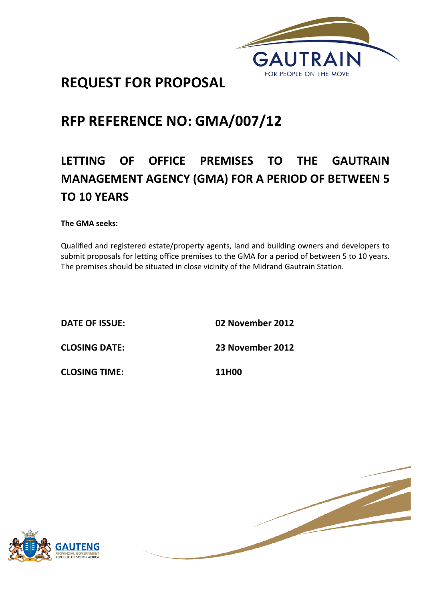

**REQUEST FOR PROPOSAL** 

# **RFP REFERENCE NO: GMA/007/12**

# LETTING OF OFFICE PREMISES TO THE GAUTRAIN **MANAGEMENT AGENCY (GMA) FOR A PERIOD OF BETWEEN 5 TO 10 YEARS**

**The GMA seeks:** 

Qualified and registered estate/property agents, land and building owners and developers to submit proposals for letting office premises to the GMA for a period of between 5 to 10 years. The premises should be situated in close vicinity of the Midrand Gautrain Station.

**DATE OF ISSUE:** 02 November 2012

**CLOSING DATE: 23 November 2012**

**CLOSING TIME: 11H00**



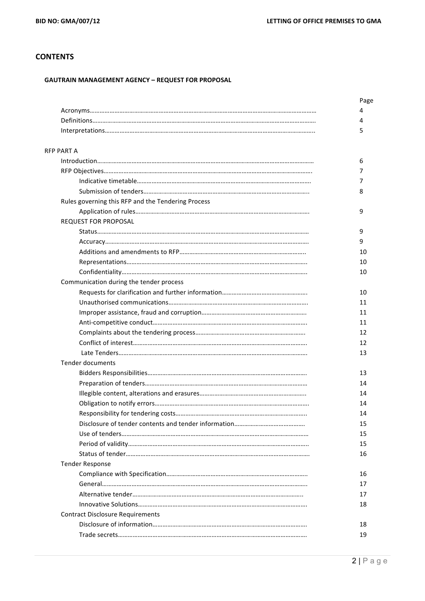## **CONTENTS**

#### **GAUTRAIN MANAGEMENT AGENCY - REQUEST FOR PROPOSAL**

|                                                    | Page |
|----------------------------------------------------|------|
|                                                    | 4    |
|                                                    | 4    |
|                                                    | 5    |
| <b>RFP PART A</b>                                  |      |
|                                                    | 6    |
|                                                    |      |
|                                                    | 7    |
|                                                    | 8    |
| Rules governing this RFP and the Tendering Process |      |
|                                                    | 9    |
| REQUEST FOR PROPOSAL                               |      |
|                                                    | 9    |
|                                                    | 9    |
|                                                    | 10   |
|                                                    | 10   |
|                                                    | 10   |
| Communication during the tender process            |      |
|                                                    | 10   |
|                                                    | 11   |
|                                                    | 11   |
|                                                    | 11   |
|                                                    | 12   |
|                                                    | 12   |
|                                                    | 13   |
| <b>Tender documents</b>                            |      |
|                                                    | 13   |
|                                                    | 14   |
|                                                    | 14   |
|                                                    | 14   |
|                                                    | 14   |
|                                                    | 15   |
|                                                    | 15   |
|                                                    | 15   |
|                                                    | 16   |
| <b>Tender Response</b>                             |      |
|                                                    | 16   |
|                                                    | 17   |
|                                                    | 17   |
|                                                    | 18   |
| <b>Contract Disclosure Requirements</b>            |      |
|                                                    | 18   |
|                                                    | 19   |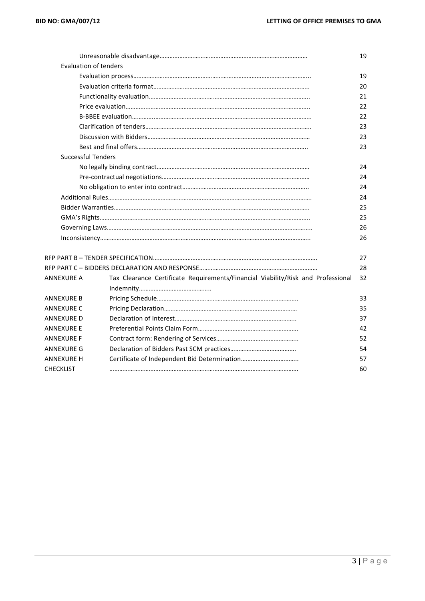|                              |                                                                                  | 19 |
|------------------------------|----------------------------------------------------------------------------------|----|
| <b>Evaluation of tenders</b> |                                                                                  |    |
|                              |                                                                                  | 19 |
|                              |                                                                                  | 20 |
|                              |                                                                                  | 21 |
|                              |                                                                                  | 22 |
|                              |                                                                                  | 22 |
|                              |                                                                                  | 23 |
|                              |                                                                                  | 23 |
|                              |                                                                                  | 23 |
| <b>Successful Tenders</b>    |                                                                                  |    |
|                              |                                                                                  | 24 |
|                              |                                                                                  | 24 |
|                              |                                                                                  | 24 |
|                              |                                                                                  | 24 |
|                              |                                                                                  | 25 |
|                              |                                                                                  | 25 |
|                              |                                                                                  | 26 |
|                              |                                                                                  | 26 |
|                              |                                                                                  |    |
|                              |                                                                                  | 27 |
|                              |                                                                                  | 28 |
| <b>ANNEXURE A</b>            | Tax Clearance Certificate Requirements/Financial Viability/Risk and Professional | 32 |
|                              |                                                                                  |    |
| <b>ANNEXURE B</b>            |                                                                                  | 33 |
| ANNEXURE C                   |                                                                                  | 35 |
| ANNEXURE D                   |                                                                                  | 37 |
| ANNEXURE E                   |                                                                                  | 42 |
| ANNEXURE F                   |                                                                                  | 52 |
| ANNEXURE G                   |                                                                                  | 54 |
| <b>ANNEXURE H</b>            |                                                                                  | 57 |
| CHECKLIST                    |                                                                                  | 60 |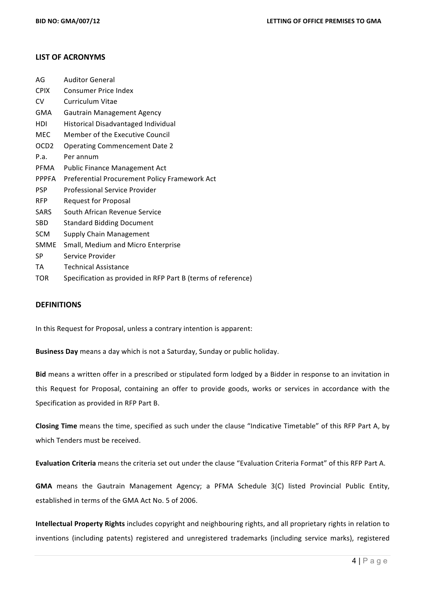#### **LIST OF ACRONYMS**

| AG               | <b>Auditor General</b>                                       |
|------------------|--------------------------------------------------------------|
| <b>CPIX</b>      | <b>Consumer Price Index</b>                                  |
| CV               | Curriculum Vitae                                             |
| <b>GMA</b>       | <b>Gautrain Management Agency</b>                            |
| HDI              | Historical Disadvantaged Individual                          |
| MEC              | Member of the Executive Council                              |
| OCD <sub>2</sub> | <b>Operating Commencement Date 2</b>                         |
| P.a.             | Per annum                                                    |
| PFMA             | <b>Public Finance Management Act</b>                         |
| <b>PPPFA</b>     | Preferential Procurement Policy Framework Act                |
| <b>PSP</b>       | Professional Service Provider                                |
| <b>RFP</b>       | <b>Request for Proposal</b>                                  |
| <b>SARS</b>      | South African Revenue Service                                |
| SBD              | <b>Standard Bidding Document</b>                             |
| <b>SCM</b>       | <b>Supply Chain Management</b>                               |
| <b>SMME</b>      | Small, Medium and Micro Enterprise                           |
| SP               | Service Provider                                             |
| TA               | <b>Technical Assistance</b>                                  |
| TOR              | Specification as provided in RFP Part B (terms of reference) |

#### **DEFINITIONS**

In this Request for Proposal, unless a contrary intention is apparent:

**Business Day** means a day which is not a Saturday, Sunday or public holiday.

**Bid** means a written offer in a prescribed or stipulated form lodged by a Bidder in response to an invitation in this Request for Proposal, containing an offer to provide goods, works or services in accordance with the Specification as provided in RFP Part B.

**Closing Time** means the time, specified as such under the clause "Indicative Timetable" of this RFP Part A, by which Tenders must be received.

**Evaluation Criteria** means the criteria set out under the clause "Evaluation Criteria Format" of this RFP Part A.

**GMA** means the Gautrain Management Agency; a PFMA Schedule 3(C) listed Provincial Public Entity, established in terms of the GMA Act No. 5 of 2006.

**Intellectual Property Rights** includes copyright and neighbouring rights, and all proprietary rights in relation to inventions (including patents) registered and unregistered trademarks (including service marks), registered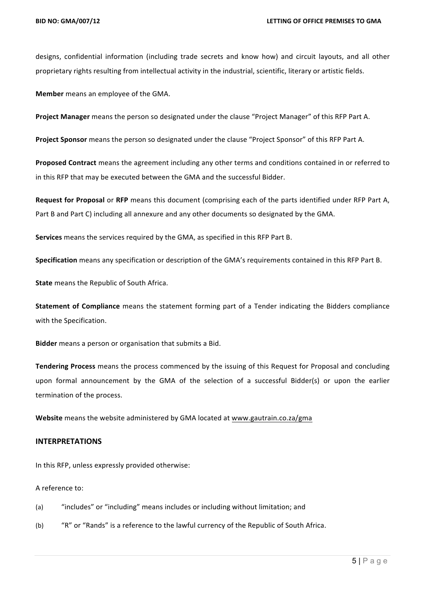designs, confidential information (including trade secrets and know how) and circuit layouts, and all other proprietary rights resulting from intellectual activity in the industrial, scientific, literary or artistic fields.

**Member** means an employee of the GMA.

**Project Manager** means the person so designated under the clause "Project Manager" of this RFP Part A.

**Project Sponsor** means the person so designated under the clause "Project Sponsor" of this RFP Part A.

Proposed Contract means the agreement including any other terms and conditions contained in or referred to in this RFP that may be executed between the GMA and the successful Bidder.

**Request for Proposal** or RFP means this document (comprising each of the parts identified under RFP Part A, Part B and Part C) including all annexure and any other documents so designated by the GMA.

**Services** means the services required by the GMA, as specified in this RFP Part B.

**Specification** means any specification or description of the GMA's requirements contained in this RFP Part B.

**State** means the Republic of South Africa.

**Statement of Compliance** means the statement forming part of a Tender indicating the Bidders compliance with the Specification.

**Bidder** means a person or organisation that submits a Bid.

**Tendering Process** means the process commenced by the issuing of this Request for Proposal and concluding upon formal announcement by the GMA of the selection of a successful Bidder(s) or upon the earlier termination of the process.

**Website** means the website administered by GMA located at www.gautrain.co.za/gma

#### **INTERPRETATIONS**

In this RFP, unless expressly provided otherwise:

A reference to:

- (a) "includes" or "including" means includes or including without limitation; and
- (b) "R" or "Rands" is a reference to the lawful currency of the Republic of South Africa.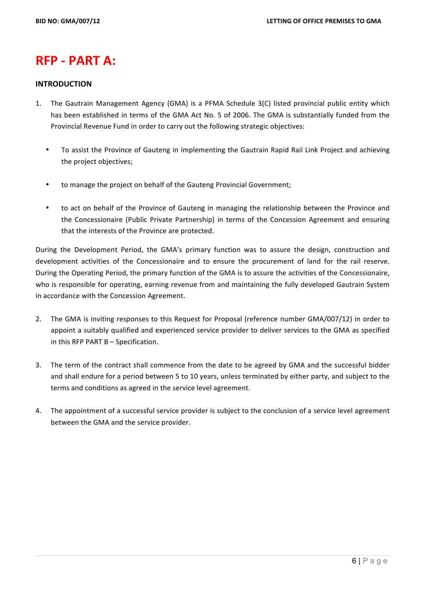## **RFP - PART A:**

#### **INTRODUCTION**

- 1. The Gautrain Management Agency (GMA) is a PFMA Schedule 3(C) listed provincial public entity which has been established in terms of the GMA Act No. 5 of 2006. The GMA is substantially funded from the Provincial Revenue Fund in order to carry out the following strategic objectives:
	- To assist the Province of Gauteng in implementing the Gautrain Rapid Rail Link Project and achieving the project objectives:
	- to manage the project on behalf of the Gauteng Provincial Government;
	- to act on behalf of the Province of Gauteng in managing the relationship between the Province and the Concessionaire (Public Private Partnership) in terms of the Concession Agreement and ensuring that the interests of the Province are protected.

During the Development Period, the GMA's primary function was to assure the design, construction and development activities of the Concessionaire and to ensure the procurement of land for the rail reserve. During the Operating Period, the primary function of the GMA is to assure the activities of the Concessionaire, who is responsible for operating, earning revenue from and maintaining the fully developed Gautrain System in accordance with the Concession Agreement.

- 2. The GMA is inviting responses to this Request for Proposal (reference number GMA/007/12) in order to appoint a suitably qualified and experienced service provider to deliver services to the GMA as specified in this RFP PART  $B -$  Specification.
- 3. The term of the contract shall commence from the date to be agreed by GMA and the successful bidder and shall endure for a period between 5 to 10 years, unless terminated by either party, and subject to the terms and conditions as agreed in the service level agreement.
- 4. The appointment of a successful service provider is subject to the conclusion of a service level agreement between the GMA and the service provider.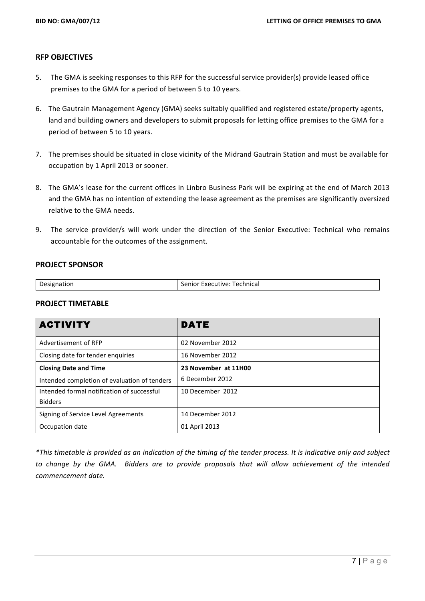#### **RFP OBJECTIVES**

- 5. The GMA is seeking responses to this RFP for the successful service provider(s) provide leased office premises to the GMA for a period of between 5 to 10 years.
- 6. The Gautrain Management Agency (GMA) seeks suitably qualified and registered estate/property agents, land and building owners and developers to submit proposals for letting office premises to the GMA for a period of between 5 to 10 years.
- 7. The premises should be situated in close vicinity of the Midrand Gautrain Station and must be available for occupation by 1 April 2013 or sooner.
- 8. The GMA's lease for the current offices in Linbro Business Park will be expiring at the end of March 2013 and the GMA has no intention of extending the lease agreement as the premises are significantly oversized relative to the GMA needs.
- 9. The service provider/s will work under the direction of the Senior Executive: Technical who remains accountable for the outcomes of the assignment.

#### **PROJECT SPONSOR**

| :Hatioi | Technical<br>senior -<br>rxecutive: |
|---------|-------------------------------------|

### **PROJECT TIMETABLE**

| <b>ACTIVITY</b>                              | <b>DATE</b>          |
|----------------------------------------------|----------------------|
| Advertisement of RFP                         | 02 November 2012     |
| Closing date for tender enquiries            | 16 November 2012     |
| <b>Closing Date and Time</b>                 | 23 November at 11H00 |
| Intended completion of evaluation of tenders | 6 December 2012      |
| Intended formal notification of successful   | 10 December 2012     |
| <b>Bidders</b>                               |                      |
| Signing of Service Level Agreements          | 14 December 2012     |
| Occupation date                              | 01 April 2013        |

*\*This timetable is provided as an indication of the timing of the tender process. It is indicative only and subject*  to change by the GMA. Bidders are to provide proposals that will allow achievement of the intended *commencement date.*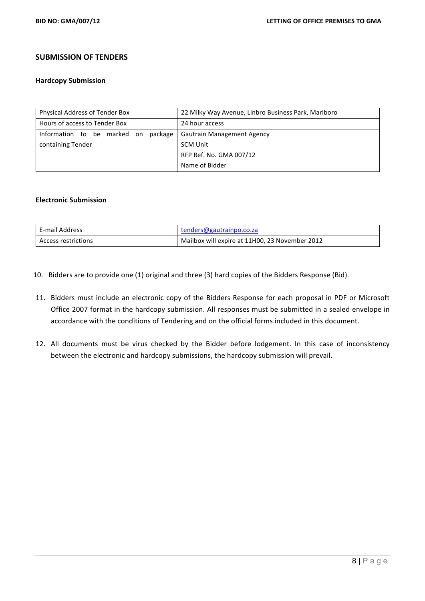## **SUBMISSION OF TENDERS**

#### **Hardcopy Submission**

| Physical Address of Tender Box         | 22 Milky Way Avenue, Linbro Business Park, Marlboro |
|----------------------------------------|-----------------------------------------------------|
| Hours of access to Tender Box          | 24 hour access                                      |
| Information to be marked on<br>package | Gautrain Management Agency                          |
| containing Tender                      | <b>SCM Unit</b>                                     |
|                                        | RFP Ref. No. GMA 007/12                             |
|                                        | Name of Bidder                                      |

### **Electronic Submission**

| E-mail Address      | tenders@gautrainpo.co.za                       |
|---------------------|------------------------------------------------|
| Access restrictions | Mailbox will expire at 11H00, 23 November 2012 |

- 10. Bidders are to provide one (1) original and three (3) hard copies of the Bidders Response (Bid).
- 11. Bidders must include an electronic copy of the Bidders Response for each proposal in PDF or Microsoft Office 2007 format in the hardcopy submission. All responses must be submitted in a sealed envelope in accordance with the conditions of Tendering and on the official forms included in this document.
- 12. All documents must be virus checked by the Bidder before lodgement. In this case of inconsistency between the electronic and hardcopy submissions, the hardcopy submission will prevail.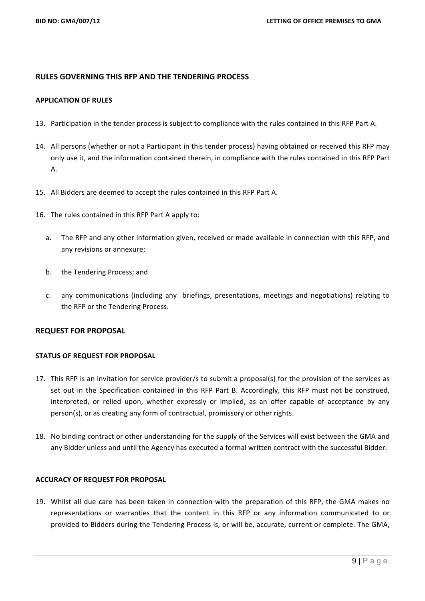#### **RULES GOVERNING THIS RFP AND THE TENDERING PROCESS**

#### **APPLICATION OF RULES**

- 13. Participation in the tender process is subject to compliance with the rules contained in this RFP Part A.
- 14. All persons (whether or not a Participant in this tender process) having obtained or received this RFP may only use it, and the information contained therein, in compliance with the rules contained in this RFP Part A.
- 15. All Bidders are deemed to accept the rules contained in this RFP Part A.
- 16. The rules contained in this RFP Part A apply to:
	- a. The RFP and any other information given, received or made available in connection with this RFP, and any revisions or annexure:
	- b. the Tendering Process; and
	- c. any communications (including any briefings, presentations, meetings and negotiations) relating to the RFP or the Tendering Process.

#### **REQUEST FOR PROPOSAL**

#### **STATUS OF REQUEST FOR PROPOSAL**

- 17. This RFP is an invitation for service provider/s to submit a proposal(s) for the provision of the services as set out in the Specification contained in this RFP Part B. Accordingly, this RFP must not be construed, interpreted, or relied upon, whether expressly or implied, as an offer capable of acceptance by any person(s), or as creating any form of contractual, promissory or other rights.
- 18. No binding contract or other understanding for the supply of the Services will exist between the GMA and any Bidder unless and until the Agency has executed a formal written contract with the successful Bidder.

#### **ACCURACY OF REQUEST FOR PROPOSAL**

19. Whilst all due care has been taken in connection with the preparation of this RFP, the GMA makes no representations or warranties that the content in this RFP or any information communicated to or provided to Bidders during the Tendering Process is, or will be, accurate, current or complete. The GMA,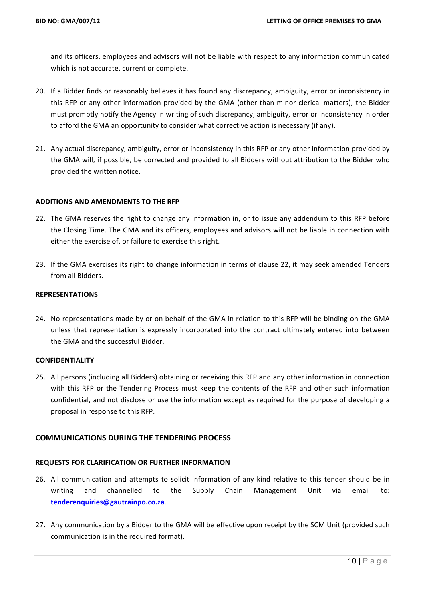and its officers, employees and advisors will not be liable with respect to any information communicated which is not accurate, current or complete.

- 20. If a Bidder finds or reasonably believes it has found any discrepancy, ambiguity, error or inconsistency in this RFP or any other information provided by the GMA (other than minor clerical matters), the Bidder must promptly notify the Agency in writing of such discrepancy, ambiguity, error or inconsistency in order to afford the GMA an opportunity to consider what corrective action is necessary (if any).
- 21. Any actual discrepancy, ambiguity, error or inconsistency in this RFP or any other information provided by the GMA will, if possible, be corrected and provided to all Bidders without attribution to the Bidder who provided the written notice.

#### **ADDITIONS AND AMENDMENTS TO THE RFP**

- 22. The GMA reserves the right to change any information in, or to issue any addendum to this RFP before the Closing Time. The GMA and its officers, employees and advisors will not be liable in connection with either the exercise of, or failure to exercise this right.
- 23. If the GMA exercises its right to change information in terms of clause 22, it may seek amended Tenders from all Bidders.

#### **REPRESENTATIONS**

24. No representations made by or on behalf of the GMA in relation to this RFP will be binding on the GMA unless that representation is expressly incorporated into the contract ultimately entered into between the GMA and the successful Bidder.

#### **CONFIDENTIALITY**

25. All persons (including all Bidders) obtaining or receiving this RFP and any other information in connection with this RFP or the Tendering Process must keep the contents of the RFP and other such information confidential, and not disclose or use the information except as required for the purpose of developing a proposal in response to this RFP.

#### **COMMUNICATIONS DURING THE TENDERING PROCESS**

## **REQUESTS FOR CLARIFICATION OR FURTHER INFORMATION**

- 26. All communication and attempts to solicit information of any kind relative to this tender should be in writing and channelled to the Supply Chain Management Unit via email to: **tenderenquiries@gautrainpo.co.za**.
- 27. Any communication by a Bidder to the GMA will be effective upon receipt by the SCM Unit (provided such communication is in the required format).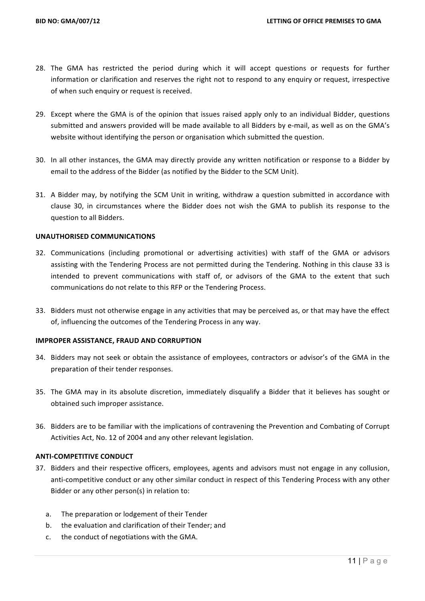- 28. The GMA has restricted the period during which it will accept questions or requests for further information or clarification and reserves the right not to respond to any enquiry or request, irrespective of when such enquiry or request is received.
- 29. Except where the GMA is of the opinion that issues raised apply only to an individual Bidder, questions submitted and answers provided will be made available to all Bidders by e-mail, as well as on the GMA's website without identifying the person or organisation which submitted the question.
- 30. In all other instances, the GMA may directly provide any written notification or response to a Bidder by email to the address of the Bidder (as notified by the Bidder to the SCM Unit).
- 31. A Bidder may, by notifying the SCM Unit in writing, withdraw a question submitted in accordance with clause 30, in circumstances where the Bidder does not wish the GMA to publish its response to the question to all Bidders.

#### **UNAUTHORISED COMMUNICATIONS**

- 32. Communications (including promotional or advertising activities) with staff of the GMA or advisors assisting with the Tendering Process are not permitted during the Tendering. Nothing in this clause 33 is intended to prevent communications with staff of, or advisors of the GMA to the extent that such communications do not relate to this RFP or the Tendering Process.
- 33. Bidders must not otherwise engage in any activities that may be perceived as, or that may have the effect of, influencing the outcomes of the Tendering Process in any way.

#### **IMPROPER ASSISTANCE, FRAUD AND CORRUPTION**

- 34. Bidders may not seek or obtain the assistance of employees, contractors or advisor's of the GMA in the preparation of their tender responses.
- 35. The GMA may in its absolute discretion, immediately disqualify a Bidder that it believes has sought or obtained such improper assistance.
- 36. Bidders are to be familiar with the implications of contravening the Prevention and Combating of Corrupt Activities Act, No. 12 of 2004 and any other relevant legislation.

#### **ANTI-COMPETITIVE CONDUCT**

- 37. Bidders and their respective officers, employees, agents and advisors must not engage in any collusion, anti-competitive conduct or any other similar conduct in respect of this Tendering Process with any other Bidder or any other person(s) in relation to:
	- a. The preparation or lodgement of their Tender
	- b. the evaluation and clarification of their Tender; and
	- c. the conduct of negotiations with the GMA.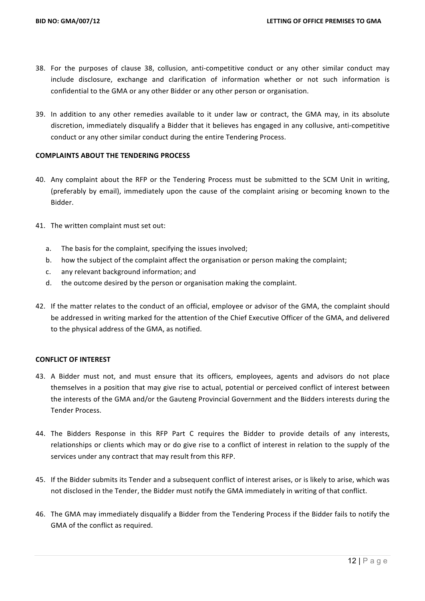- 38. For the purposes of clause 38, collusion, anti-competitive conduct or any other similar conduct may include disclosure, exchange and clarification of information whether or not such information is confidential to the GMA or any other Bidder or any other person or organisation.
- 39. In addition to any other remedies available to it under law or contract, the GMA may, in its absolute discretion, immediately disqualify a Bidder that it believes has engaged in any collusive, anti-competitive conduct or any other similar conduct during the entire Tendering Process.

#### **COMPLAINTS ABOUT THE TENDERING PROCESS**

- 40. Any complaint about the RFP or the Tendering Process must be submitted to the SCM Unit in writing, (preferably by email), immediately upon the cause of the complaint arising or becoming known to the Bidder.
- 41. The written complaint must set out:
	- a. The basis for the complaint, specifying the issues involved;
	- b. how the subject of the complaint affect the organisation or person making the complaint;
	- c. any relevant background information; and
	- d. the outcome desired by the person or organisation making the complaint.
- 42. If the matter relates to the conduct of an official, employee or advisor of the GMA, the complaint should be addressed in writing marked for the attention of the Chief Executive Officer of the GMA, and delivered to the physical address of the GMA, as notified.

#### **CONFLICT OF INTEREST**

- 43. A Bidder must not, and must ensure that its officers, employees, agents and advisors do not place themselves in a position that may give rise to actual, potential or perceived conflict of interest between the interests of the GMA and/or the Gauteng Provincial Government and the Bidders interests during the Tender Process.
- 44. The Bidders Response in this RFP Part C requires the Bidder to provide details of any interests, relationships or clients which may or do give rise to a conflict of interest in relation to the supply of the services under any contract that may result from this RFP.
- 45. If the Bidder submits its Tender and a subsequent conflict of interest arises, or is likely to arise, which was not disclosed in the Tender, the Bidder must notify the GMA immediately in writing of that conflict.
- 46. The GMA may immediately disqualify a Bidder from the Tendering Process if the Bidder fails to notify the GMA of the conflict as required.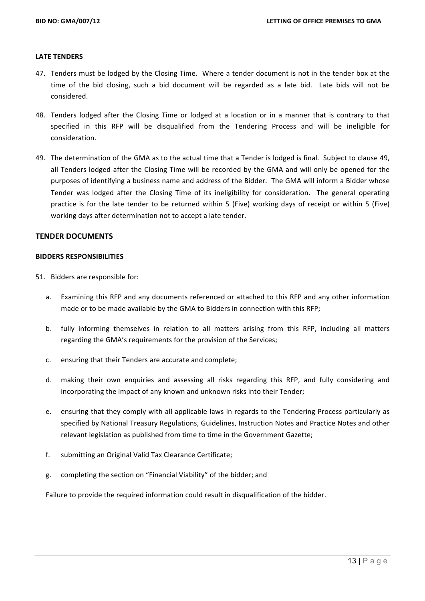#### **LATE TENDERS**

- 47. Tenders must be lodged by the Closing Time. Where a tender document is not in the tender box at the time of the bid closing, such a bid document will be regarded as a late bid. Late bids will not be considered.
- 48. Tenders lodged after the Closing Time or lodged at a location or in a manner that is contrary to that specified in this RFP will be disqualified from the Tendering Process and will be ineligible for consideration.
- 49. The determination of the GMA as to the actual time that a Tender is lodged is final. Subject to clause 49, all Tenders lodged after the Closing Time will be recorded by the GMA and will only be opened for the purposes of identifying a business name and address of the Bidder. The GMA will inform a Bidder whose Tender was lodged after the Closing Time of its ineligibility for consideration. The general operating practice is for the late tender to be returned within 5 (Five) working days of receipt or within 5 (Five) working days after determination not to accept a late tender.

#### **TENDER DOCUMENTS**

#### **BIDDERS RESPONSIBILITIES**

- 51. Bidders are responsible for:
	- a. Examining this RFP and any documents referenced or attached to this RFP and any other information made or to be made available by the GMA to Bidders in connection with this RFP;
	- b. fully informing themselves in relation to all matters arising from this RFP, including all matters regarding the GMA's requirements for the provision of the Services;
	- c. ensuring that their Tenders are accurate and complete;
	- d. making their own enquiries and assessing all risks regarding this RFP, and fully considering and incorporating the impact of any known and unknown risks into their Tender;
	- e. ensuring that they comply with all applicable laws in regards to the Tendering Process particularly as specified by National Treasury Regulations, Guidelines, Instruction Notes and Practice Notes and other relevant legislation as published from time to time in the Government Gazette;
	- f. submitting an Original Valid Tax Clearance Certificate;
	- g. completing the section on "Financial Viability" of the bidder; and

Failure to provide the required information could result in disqualification of the bidder.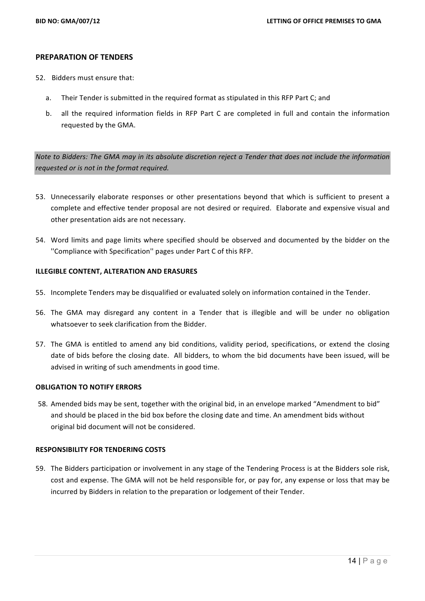#### **PREPARATION OF TENDERS**

- 52. Bidders must ensure that:
	- a. Their Tender is submitted in the required format as stipulated in this RFP Part C; and
	- b. all the required information fields in RFP Part C are completed in full and contain the information requested by the GMA.

*Note to Bidders: The GMA may in its absolute discretion reject a Tender that does not include the information requested or is not in the format required.* 

- 53. Unnecessarily elaborate responses or other presentations beyond that which is sufficient to present a complete and effective tender proposal are not desired or required. Elaborate and expensive visual and other presentation aids are not necessary.
- 54. Word limits and page limits where specified should be observed and documented by the bidder on the ''Compliance with Specification'' pages under Part C of this RFP.

#### **ILLEGIBLE CONTENT, ALTERATION AND ERASURES**

- 55. Incomplete Tenders may be disqualified or evaluated solely on information contained in the Tender.
- 56. The GMA may disregard any content in a Tender that is illegible and will be under no obligation whatsoever to seek clarification from the Bidder.
- 57. The GMA is entitled to amend any bid conditions, validity period, specifications, or extend the closing date of bids before the closing date. All bidders, to whom the bid documents have been issued, will be advised in writing of such amendments in good time.

#### **OBLIGATION TO NOTIFY ERRORS**

58. Amended bids may be sent, together with the original bid, in an envelope marked "Amendment to bid" and should be placed in the bid box before the closing date and time. An amendment bids without original bid document will not be considered.

#### **RESPONSIBILITY FOR TENDERING COSTS**

59. The Bidders participation or involvement in any stage of the Tendering Process is at the Bidders sole risk, cost and expense. The GMA will not be held responsible for, or pay for, any expense or loss that may be incurred by Bidders in relation to the preparation or lodgement of their Tender.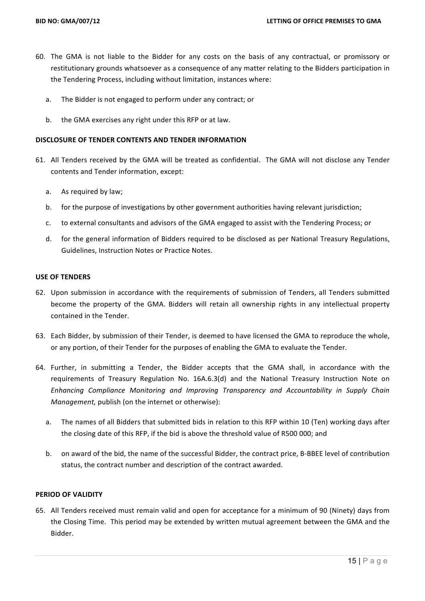- 60. The GMA is not liable to the Bidder for any costs on the basis of any contractual, or promissory or restitutionary grounds whatsoever as a consequence of any matter relating to the Bidders participation in the Tendering Process, including without limitation, instances where:
	- a. The Bidder is not engaged to perform under any contract; or
	- b. the GMA exercises any right under this RFP or at law.

#### **DISCLOSURE OF TENDER CONTENTS AND TENDER INFORMATION**

- 61. All Tenders received by the GMA will be treated as confidential. The GMA will not disclose any Tender contents and Tender information, except:
	- a. As required by law;
	- b. for the purpose of investigations by other government authorities having relevant jurisdiction;
	- c. to external consultants and advisors of the GMA engaged to assist with the Tendering Process; or
	- d. for the general information of Bidders required to be disclosed as per National Treasury Regulations, Guidelines, Instruction Notes or Practice Notes.

#### **USE OF TENDERS**

- 62. Upon submission in accordance with the requirements of submission of Tenders, all Tenders submitted become the property of the GMA. Bidders will retain all ownership rights in any intellectual property contained in the Tender.
- 63. Each Bidder, by submission of their Tender, is deemed to have licensed the GMA to reproduce the whole, or any portion, of their Tender for the purposes of enabling the GMA to evaluate the Tender.
- 64. Further, in submitting a Tender, the Bidder accepts that the GMA shall, in accordance with the requirements of Treasury Regulation No. 16A.6.3(d) and the National Treasury Instruction Note on *Enhancing Compliance Monitoring and Improving Transparency and Accountability in Supply Chain Management, publish (on the internet or otherwise):* 
	- a. The names of all Bidders that submitted bids in relation to this RFP within 10 (Ten) working days after the closing date of this RFP, if the bid is above the threshold value of R500 000; and
	- b. on award of the bid, the name of the successful Bidder, the contract price, B-BBEE level of contribution status, the contract number and description of the contract awarded.

#### **PERIOD OF VALIDITY**

65. All Tenders received must remain valid and open for acceptance for a minimum of 90 (Ninety) days from the Closing Time. This period may be extended by written mutual agreement between the GMA and the Bidder.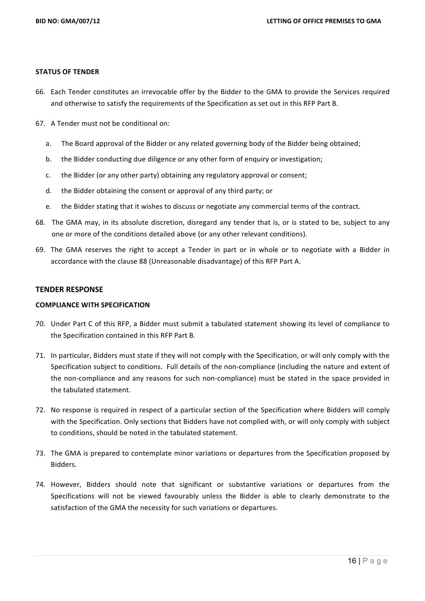#### **STATUS OF TENDER**

- 66. Each Tender constitutes an irrevocable offer by the Bidder to the GMA to provide the Services required and otherwise to satisfy the requirements of the Specification as set out in this RFP Part B.
- 67. A Tender must not be conditional on:
	- a. The Board approval of the Bidder or any related governing body of the Bidder being obtained;
	- b. the Bidder conducting due diligence or any other form of enquiry or investigation;
	- c. the Bidder (or any other party) obtaining any regulatory approval or consent;
	- d. the Bidder obtaining the consent or approval of any third party; or
	- e. the Bidder stating that it wishes to discuss or negotiate any commercial terms of the contract.
- 68. The GMA may, in its absolute discretion, disregard any tender that is, or is stated to be, subject to any one or more of the conditions detailed above (or any other relevant conditions).
- 69. The GMA reserves the right to accept a Tender in part or in whole or to negotiate with a Bidder in accordance with the clause 88 (Unreasonable disadvantage) of this RFP Part A.

#### **TENDER RESPONSE**

#### **COMPLIANCE WITH SPECIFICATION**

- 70. Under Part C of this RFP, a Bidder must submit a tabulated statement showing its level of compliance to the Specification contained in this RFP Part B.
- 71. In particular, Bidders must state if they will not comply with the Specification, or will only comply with the Specification subject to conditions. Full details of the non-compliance (including the nature and extent of the non-compliance and any reasons for such non-compliance) must be stated in the space provided in the tabulated statement.
- 72. No response is required in respect of a particular section of the Specification where Bidders will comply with the Specification. Only sections that Bidders have not complied with, or will only comply with subject to conditions, should be noted in the tabulated statement.
- 73. The GMA is prepared to contemplate minor variations or departures from the Specification proposed by Bidders.
- 74. However, Bidders should note that significant or substantive variations or departures from the Specifications will not be viewed favourably unless the Bidder is able to clearly demonstrate to the satisfaction of the GMA the necessity for such variations or departures.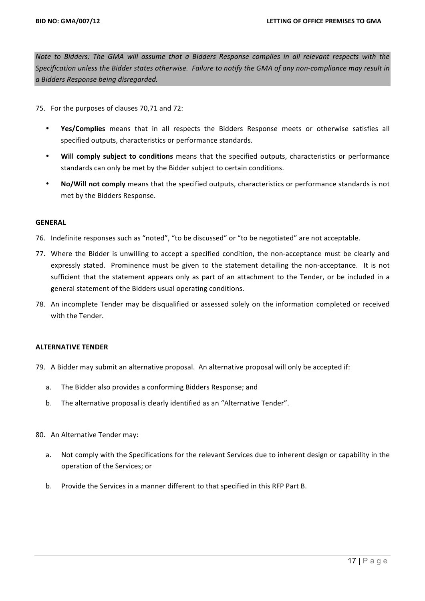*Note to Bidders: The GMA will assume that a Bidders Response complies in all relevant respects with the* Specification unless the Bidder states otherwise. Failure to notify the GMA of any non-compliance may result in *a Bidders Response being disregarded.*

75. For the purposes of clauses 70,71 and 72:

- Yes/Complies means that in all respects the Bidders Response meets or otherwise satisfies all specified outputs, characteristics or performance standards.
- **Will comply subject to conditions** means that the specified outputs, characteristics or performance standards can only be met by the Bidder subject to certain conditions.
- **No/Will not comply** means that the specified outputs, characteristics or performance standards is not met by the Bidders Response.

#### **GENERAL**

- 76. Indefinite responses such as "noted", "to be discussed" or "to be negotiated" are not acceptable.
- 77. Where the Bidder is unwilling to accept a specified condition, the non-acceptance must be clearly and expressly stated. Prominence must be given to the statement detailing the non-acceptance. It is not sufficient that the statement appears only as part of an attachment to the Tender, or be included in a general statement of the Bidders usual operating conditions.
- 78. An incomplete Tender may be disqualified or assessed solely on the information completed or received with the Tender.

#### **ALTERNATIVE TENDER**

- 79. A Bidder may submit an alternative proposal. An alternative proposal will only be accepted if:
	- a. The Bidder also provides a conforming Bidders Response: and
	- b. The alternative proposal is clearly identified as an "Alternative Tender".
- 80. An Alternative Tender may:
	- a. Not comply with the Specifications for the relevant Services due to inherent design or capability in the operation of the Services; or
	- b. Provide the Services in a manner different to that specified in this RFP Part B.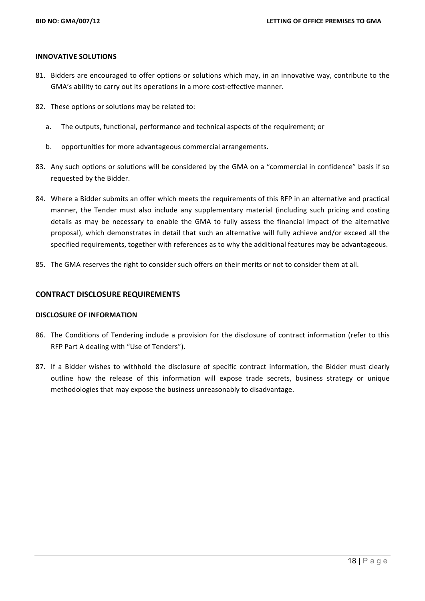#### **INNOVATIVE SOLUTIONS**

- 81. Bidders are encouraged to offer options or solutions which may, in an innovative way, contribute to the GMA's ability to carry out its operations in a more cost-effective manner.
- 82. These options or solutions may be related to:
	- a. The outputs, functional, performance and technical aspects of the requirement; or
	- b. opportunities for more advantageous commercial arrangements.
- 83. Any such options or solutions will be considered by the GMA on a "commercial in confidence" basis if so requested by the Bidder.
- 84. Where a Bidder submits an offer which meets the requirements of this RFP in an alternative and practical manner, the Tender must also include any supplementary material (including such pricing and costing details as may be necessary to enable the GMA to fully assess the financial impact of the alternative proposal), which demonstrates in detail that such an alternative will fully achieve and/or exceed all the specified requirements, together with references as to why the additional features may be advantageous.
- 85. The GMA reserves the right to consider such offers on their merits or not to consider them at all.

#### **CONTRACT DISCLOSURE REQUIREMENTS**

#### **DISCLOSURE OF INFORMATION**

- 86. The Conditions of Tendering include a provision for the disclosure of contract information (refer to this RFP Part A dealing with "Use of Tenders").
- 87. If a Bidder wishes to withhold the disclosure of specific contract information, the Bidder must clearly outline how the release of this information will expose trade secrets, business strategy or unique methodologies that may expose the business unreasonably to disadvantage.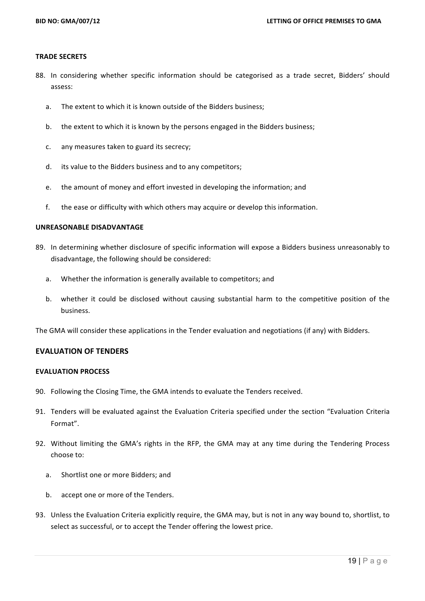#### **TRADE SECRETS**

- 88. In considering whether specific information should be categorised as a trade secret, Bidders' should assess:
	- a. The extent to which it is known outside of the Bidders business:
	- b. the extent to which it is known by the persons engaged in the Bidders business;
	- c. any measures taken to guard its secrecy;
	- d. its value to the Bidders business and to any competitors;
	- e. the amount of money and effort invested in developing the information; and
	- f. the ease or difficulty with which others may acquire or develop this information.

#### **UNREASONABLE DISADVANTAGE**

- 89. In determining whether disclosure of specific information will expose a Bidders business unreasonably to disadvantage, the following should be considered:
	- a. Whether the information is generally available to competitors; and
	- b. whether it could be disclosed without causing substantial harm to the competitive position of the business.

The GMA will consider these applications in the Tender evaluation and negotiations (if any) with Bidders.

#### **EVALUATION OF TENDERS**

#### **EVALUATION PROCESS**

- 90. Following the Closing Time, the GMA intends to evaluate the Tenders received.
- 91. Tenders will be evaluated against the Evaluation Criteria specified under the section "Evaluation Criteria Format".
- 92. Without limiting the GMA's rights in the RFP, the GMA may at any time during the Tendering Process choose to:
	- a. Shortlist one or more Bidders; and
	- b. accept one or more of the Tenders.
- 93. Unless the Evaluation Criteria explicitly require, the GMA may, but is not in any way bound to, shortlist, to select as successful, or to accept the Tender offering the lowest price.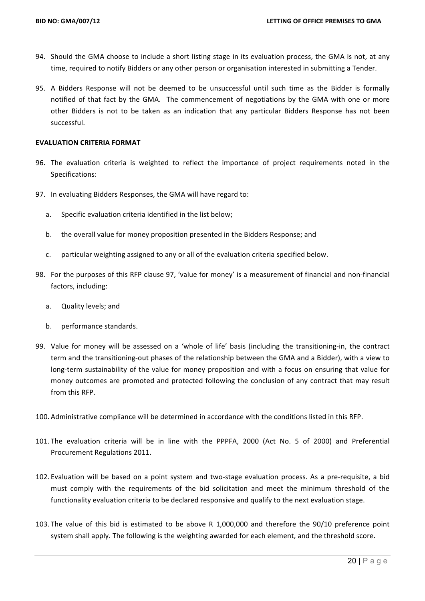- 94. Should the GMA choose to include a short listing stage in its evaluation process, the GMA is not, at any time, required to notify Bidders or any other person or organisation interested in submitting a Tender.
- 95. A Bidders Response will not be deemed to be unsuccessful until such time as the Bidder is formally notified of that fact by the GMA. The commencement of negotiations by the GMA with one or more other Bidders is not to be taken as an indication that any particular Bidders Response has not been successful.

#### **EVALUATION CRITERIA FORMAT**

- 96. The evaluation criteria is weighted to reflect the importance of project requirements noted in the Specifications:
- 97. In evaluating Bidders Responses, the GMA will have regard to:
	- a. Specific evaluation criteria identified in the list below;
	- b. the overall value for money proposition presented in the Bidders Response; and
	- c. particular weighting assigned to any or all of the evaluation criteria specified below.
- 98. For the purposes of this RFP clause 97, 'value for money' is a measurement of financial and non-financial factors, including:
	- a. Quality levels; and
	- b. performance standards.
- 99. Value for money will be assessed on a 'whole of life' basis (including the transitioning-in, the contract term and the transitioning-out phases of the relationship between the GMA and a Bidder), with a view to long-term sustainability of the value for money proposition and with a focus on ensuring that value for money outcomes are promoted and protected following the conclusion of any contract that may result from this RFP.
- 100. Administrative compliance will be determined in accordance with the conditions listed in this RFP.
- 101. The evaluation criteria will be in line with the PPPFA, 2000 (Act No. 5 of 2000) and Preferential Procurement Regulations 2011.
- 102. Evaluation will be based on a point system and two-stage evaluation process. As a pre-requisite, a bid must comply with the requirements of the bid solicitation and meet the minimum threshold of the functionality evaluation criteria to be declared responsive and qualify to the next evaluation stage.
- 103. The value of this bid is estimated to be above R  $1,000,000$  and therefore the  $90/10$  preference point system shall apply. The following is the weighting awarded for each element, and the threshold score.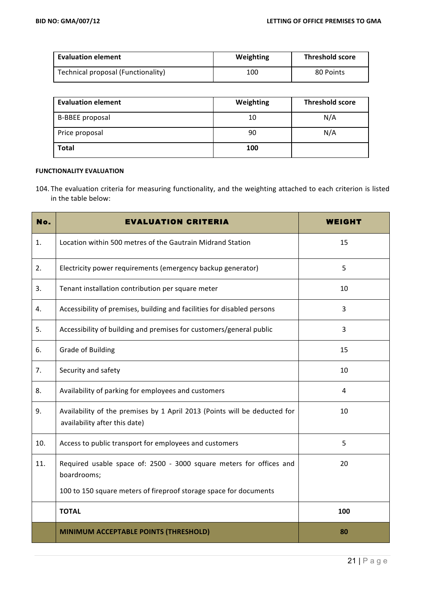| <b>Evaluation element</b>          | Weighting | <b>Threshold score</b> |
|------------------------------------|-----------|------------------------|
| Technical proposal (Functionality) | 100       | 80 Points              |

| <b>Evaluation element</b> | Weighting | <b>Threshold score</b> |
|---------------------------|-----------|------------------------|
| <b>B-BBEE proposal</b>    | 10        | N/A                    |
| Price proposal            | 90        | N/A                    |
| Total                     | 100       |                        |

#### **FUNCTIONALITY EVALUATION**

104. The evaluation criteria for measuring functionality, and the weighting attached to each criterion is listed in the table below:

| No. | <b>EVALUATION CRITERIA</b>                                                                                 | <b>WEIGHT</b>  |
|-----|------------------------------------------------------------------------------------------------------------|----------------|
| 1.  | Location within 500 metres of the Gautrain Midrand Station                                                 | 15             |
| 2.  | Electricity power requirements (emergency backup generator)                                                | 5              |
| 3.  | Tenant installation contribution per square meter                                                          | 10             |
| 4.  | Accessibility of premises, building and facilities for disabled persons                                    | 3              |
| 5.  | Accessibility of building and premises for customers/general public                                        | 3              |
| 6.  | <b>Grade of Building</b>                                                                                   | 15             |
| 7.  | Security and safety                                                                                        | 10             |
| 8.  | Availability of parking for employees and customers                                                        | $\overline{4}$ |
| 9.  | Availability of the premises by 1 April 2013 (Points will be deducted for<br>availability after this date) | 10             |
| 10. | Access to public transport for employees and customers                                                     | 5              |
| 11. | Required usable space of: 2500 - 3000 square meters for offices and<br>boardrooms;                         | 20             |
|     | 100 to 150 square meters of fireproof storage space for documents                                          |                |
|     | <b>TOTAL</b>                                                                                               | 100            |
|     | MINIMUM ACCEPTABLE POINTS (THRESHOLD)                                                                      | 80             |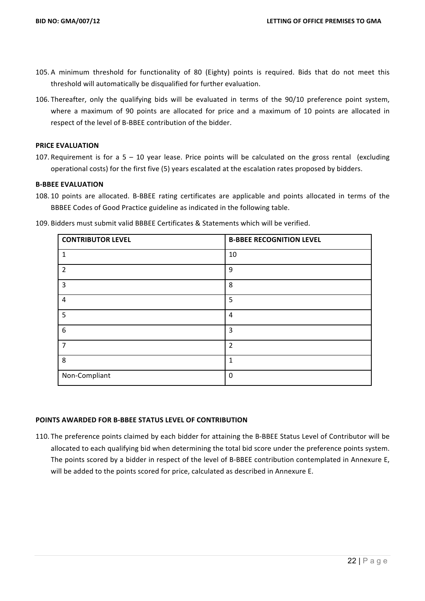- 105. A minimum threshold for functionality of 80 (Eighty) points is required. Bids that do not meet this threshold will automatically be disqualified for further evaluation.
- 106. Thereafter, only the qualifying bids will be evaluated in terms of the 90/10 preference point system, where a maximum of 90 points are allocated for price and a maximum of 10 points are allocated in respect of the level of B-BBEE contribution of the bidder.

#### **PRICE EVALUATION**

107. Requirement is for a  $5 - 10$  year lease. Price points will be calculated on the gross rental (excluding operational costs) for the first five (5) years escalated at the escalation rates proposed by bidders.

#### **B-BBEE EVALUATION**

108. 10 points are allocated. B-BBEE rating certificates are applicable and points allocated in terms of the BBBEE Codes of Good Practice guideline as indicated in the following table.

| <b>CONTRIBUTOR LEVEL</b> | <b>B-BBEE RECOGNITION LEVEL</b> |
|--------------------------|---------------------------------|
| $\mathbf{1}$             | 10                              |
| 2                        | 9                               |
| 3                        | 8                               |
| 4                        | 5                               |
| 5                        | 4                               |
| 6                        | 3                               |
| $\overline{7}$           | $\overline{2}$                  |
| 8                        | 1                               |

109. Bidders must submit valid BBBEE Certificates & Statements which will he verified

#### **POINTS AWARDED FOR B-BBEE STATUS LEVEL OF CONTRIBUTION**

Non-Compliant 0

110. The preference points claimed by each bidder for attaining the B-BBEE Status Level of Contributor will be allocated to each qualifying bid when determining the total bid score under the preference points system. The points scored by a bidder in respect of the level of B-BBEE contribution contemplated in Annexure E, will be added to the points scored for price, calculated as described in Annexure E.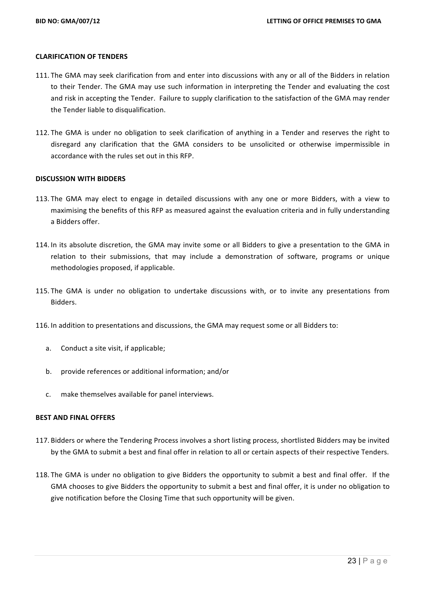#### **CLARIFICATION OF TENDERS**

- 111. The GMA may seek clarification from and enter into discussions with any or all of the Bidders in relation to their Tender. The GMA may use such information in interpreting the Tender and evaluating the cost and risk in accepting the Tender. Failure to supply clarification to the satisfaction of the GMA may render the Tender liable to disqualification.
- 112. The GMA is under no obligation to seek clarification of anything in a Tender and reserves the right to disregard any clarification that the GMA considers to be unsolicited or otherwise impermissible in accordance with the rules set out in this RFP.

#### **DISCUSSION WITH BIDDERS**

- 113. The GMA may elect to engage in detailed discussions with any one or more Bidders, with a view to maximising the benefits of this RFP as measured against the evaluation criteria and in fully understanding a Bidders offer.
- 114. In its absolute discretion, the GMA may invite some or all Bidders to give a presentation to the GMA in relation to their submissions, that may include a demonstration of software, programs or unique methodologies proposed, if applicable.
- 115. The GMA is under no obligation to undertake discussions with, or to invite any presentations from Bidders.
- 116. In addition to presentations and discussions, the GMA may request some or all Bidders to:
	- a. Conduct a site visit, if applicable;
	- b. provide references or additional information; and/or
	- c. make themselves available for panel interviews.

#### **BEST AND FINAL OFFERS**

- 117. Bidders or where the Tendering Process involves a short listing process, shortlisted Bidders may be invited by the GMA to submit a best and final offer in relation to all or certain aspects of their respective Tenders.
- 118. The GMA is under no obligation to give Bidders the opportunity to submit a best and final offer. If the GMA chooses to give Bidders the opportunity to submit a best and final offer, it is under no obligation to give notification before the Closing Time that such opportunity will be given.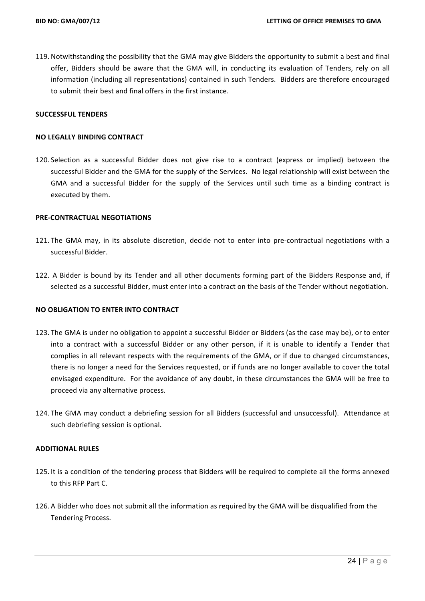119. Notwithstanding the possibility that the GMA may give Bidders the opportunity to submit a best and final offer, Bidders should be aware that the GMA will, in conducting its evaluation of Tenders, rely on all information (including all representations) contained in such Tenders. Bidders are therefore encouraged to submit their best and final offers in the first instance.

#### **SUCCESSFUL TENDERS**

#### **NO LEGALLY BINDING CONTRACT**

120. Selection as a successful Bidder does not give rise to a contract (express or implied) between the successful Bidder and the GMA for the supply of the Services. No legal relationship will exist between the GMA and a successful Bidder for the supply of the Services until such time as a binding contract is executed by them.

#### **PRE-CONTRACTUAL NEGOTIATIONS**

- 121. The GMA may, in its absolute discretion, decide not to enter into pre-contractual negotiations with a successful Bidder.
- 122. A Bidder is bound by its Tender and all other documents forming part of the Bidders Response and, if selected as a successful Bidder, must enter into a contract on the basis of the Tender without negotiation.

#### **NO OBLIGATION TO ENTER INTO CONTRACT**

- 123. The GMA is under no obligation to appoint a successful Bidder or Bidders (as the case may be), or to enter into a contract with a successful Bidder or any other person, if it is unable to identify a Tender that complies in all relevant respects with the requirements of the GMA, or if due to changed circumstances, there is no longer a need for the Services requested, or if funds are no longer available to cover the total envisaged expenditure. For the avoidance of any doubt, in these circumstances the GMA will be free to proceed via any alternative process.
- 124. The GMA may conduct a debriefing session for all Bidders (successful and unsuccessful). Attendance at such debriefing session is optional.

#### **ADDITIONAL RULES**

- 125. It is a condition of the tendering process that Bidders will be required to complete all the forms annexed to this RFP Part C.
- 126. A Bidder who does not submit all the information as required by the GMA will be disqualified from the Tendering Process.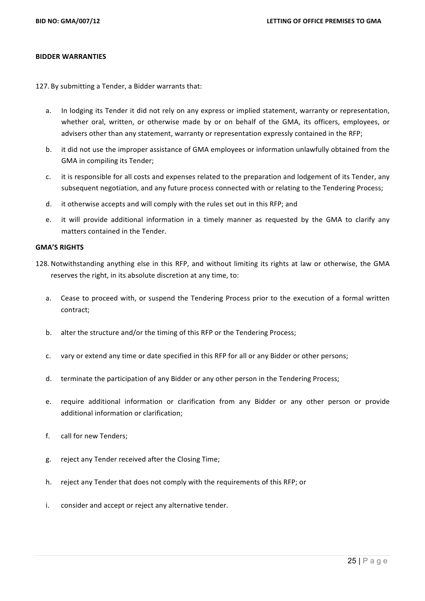#### **BIDDER WARRANTIES**

127. By submitting a Tender, a Bidder warrants that:

- a. In lodging its Tender it did not rely on any express or implied statement, warranty or representation, whether oral, written, or otherwise made by or on behalf of the GMA, its officers, employees, or advisers other than any statement, warranty or representation expressly contained in the RFP;
- b. it did not use the improper assistance of GMA employees or information unlawfully obtained from the GMA in compiling its Tender:
- c. it is responsible for all costs and expenses related to the preparation and lodgement of its Tender, any subsequent negotiation, and any future process connected with or relating to the Tendering Process;
- d. it otherwise accepts and will comply with the rules set out in this RFP; and
- e. it will provide additional information in a timely manner as requested by the GMA to clarify any matters contained in the Tender.

#### **GMA'S RIGHTS**

- 128. Notwithstanding anything else in this RFP, and without limiting its rights at law or otherwise, the GMA reserves the right, in its absolute discretion at any time, to:
	- a. Cease to proceed with, or suspend the Tendering Process prior to the execution of a formal written contract;
	- b. alter the structure and/or the timing of this RFP or the Tendering Process;
	- c. vary or extend any time or date specified in this RFP for all or any Bidder or other persons;
	- d. terminate the participation of any Bidder or any other person in the Tendering Process;
	- e. require additional information or clarification from any Bidder or any other person or provide additional information or clarification;
	- f. call for new Tenders;
	- g. reject any Tender received after the Closing Time;
	- h. reject any Tender that does not comply with the requirements of this RFP; or
	- i. consider and accept or reject any alternative tender.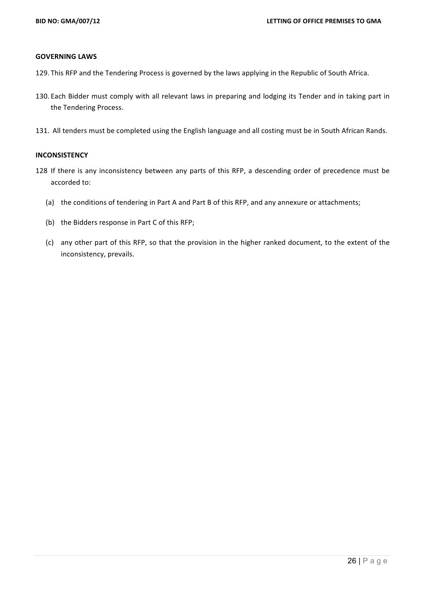#### **GOVERNING LAWS**

- 129. This RFP and the Tendering Process is governed by the laws applying in the Republic of South Africa.
- 130. Each Bidder must comply with all relevant laws in preparing and lodging its Tender and in taking part in the Tendering Process.
- 131. All tenders must be completed using the English language and all costing must be in South African Rands.

#### **INCONSISTENCY**

- 128 If there is any inconsistency between any parts of this RFP, a descending order of precedence must be accorded to:
	- (a) the conditions of tendering in Part A and Part B of this RFP, and any annexure or attachments;
	- (b) the Bidders response in Part C of this RFP;
	- (c) any other part of this RFP, so that the provision in the higher ranked document, to the extent of the inconsistency, prevails.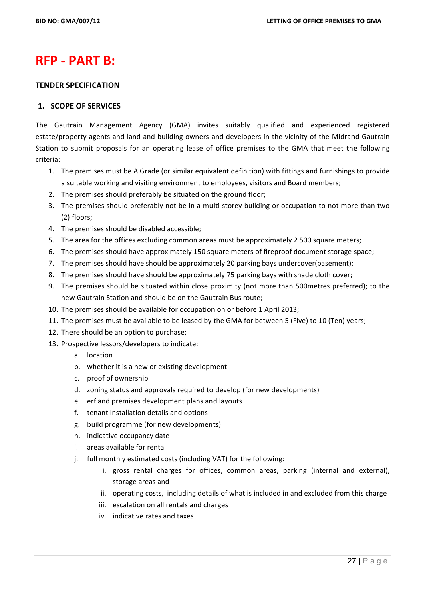## **RFP - PART B:**

#### **TENDER SPECIFICATION**

## **1. SCOPE OF SERVICES**

The Gautrain Management Agency (GMA) invites suitably qualified and experienced registered estate/property agents and land and building owners and developers in the vicinity of the Midrand Gautrain Station to submit proposals for an operating lease of office premises to the GMA that meet the following criteria:

- 1. The premises must be A Grade (or similar equivalent definition) with fittings and furnishings to provide a suitable working and visiting environment to employees, visitors and Board members;
- 2. The premises should preferably be situated on the ground floor;
- 3. The premises should preferably not be in a multi storey building or occupation to not more than two (2) floors;
- 4. The premises should be disabled accessible;
- 5. The area for the offices excluding common areas must be approximately 2 500 square meters;
- 6. The premises should have approximately 150 square meters of fireproof document storage space;
- 7. The premises should have should be approximately 20 parking bays undercover(basement);
- 8. The premises should have should be approximately 75 parking bays with shade cloth cover;
- 9. The premises should be situated within close proximity (not more than 500 metres preferred); to the new Gautrain Station and should be on the Gautrain Bus route;
- 10. The premises should be available for occupation on or before 1 April 2013;
- 11. The premises must be available to be leased by the GMA for between 5 (Five) to 10 (Ten) years;
- 12. There should be an option to purchase;
- 13. Prospective lessors/developers to indicate:
	- a. location
	- b. whether it is a new or existing development
	- c. proof of ownership
	- d. zoning status and approvals required to develop (for new developments)
	- e. erf and premises development plans and layouts
	- f. tenant Installation details and options
	- g. build programme (for new developments)
	- h. indicative occupancy date
	- i. areas available for rental
	- j. full monthly estimated costs (including VAT) for the following:
		- i. gross rental charges for offices, common areas, parking (internal and external), storage areas and
		- ii. operating costs, including details of what is included in and excluded from this charge
		- iii. escalation on all rentals and charges
		- iv. indicative rates and taxes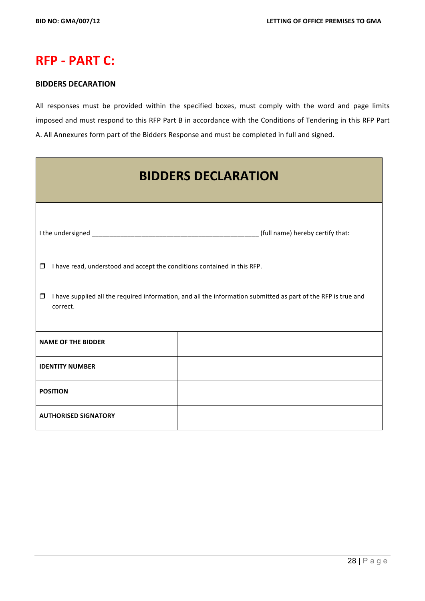## **RFP - PART C:**

## **BIDDERS DECARATION**

All responses must be provided within the specified boxes, must comply with the word and page limits imposed and must respond to this RFP Part B in accordance with the Conditions of Tendering in this RFP Part A. All Annexures form part of the Bidders Response and must be completed in full and signed.

| <b>BIDDERS DECLARATION</b>                                                                                                           |  |  |  |
|--------------------------------------------------------------------------------------------------------------------------------------|--|--|--|
|                                                                                                                                      |  |  |  |
| I have read, understood and accept the conditions contained in this RFP.<br>$\Box$                                                   |  |  |  |
| I have supplied all the required information, and all the information submitted as part of the RFP is true and<br>$\Box$<br>correct. |  |  |  |
| <b>NAME OF THE BIDDER</b>                                                                                                            |  |  |  |
| <b>IDENTITY NUMBER</b>                                                                                                               |  |  |  |
| <b>POSITION</b>                                                                                                                      |  |  |  |
| <b>AUTHORISED SIGNATORY</b>                                                                                                          |  |  |  |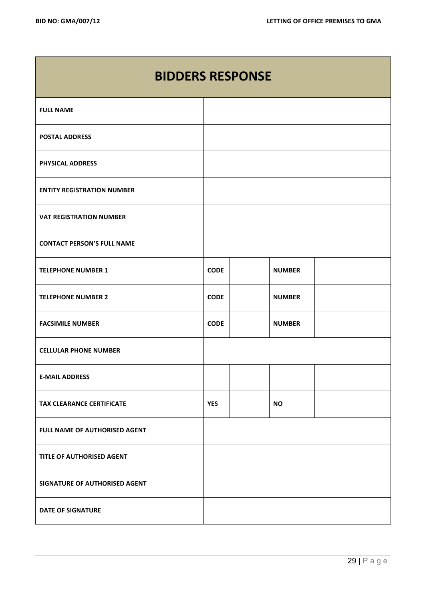| <b>BIDDERS RESPONSE</b>           |             |               |  |
|-----------------------------------|-------------|---------------|--|
| <b>FULL NAME</b>                  |             |               |  |
| <b>POSTAL ADDRESS</b>             |             |               |  |
| <b>PHYSICAL ADDRESS</b>           |             |               |  |
| <b>ENTITY REGISTRATION NUMBER</b> |             |               |  |
| <b>VAT REGISTRATION NUMBER</b>    |             |               |  |
| <b>CONTACT PERSON'S FULL NAME</b> |             |               |  |
| <b>TELEPHONE NUMBER 1</b>         | <b>CODE</b> | <b>NUMBER</b> |  |
| <b>TELEPHONE NUMBER 2</b>         | <b>CODE</b> | <b>NUMBER</b> |  |
| <b>FACSIMILE NUMBER</b>           | <b>CODE</b> | <b>NUMBER</b> |  |
| <b>CELLULAR PHONE NUMBER</b>      |             |               |  |
| <b>E-MAIL ADDRESS</b>             |             |               |  |
| <b>TAX CLEARANCE CERTIFICATE</b>  | <b>YES</b>  | <b>NO</b>     |  |
| FULL NAME OF AUTHORISED AGENT     |             |               |  |
| TITLE OF AUTHORISED AGENT         |             |               |  |
| SIGNATURE OF AUTHORISED AGENT     |             |               |  |
| <b>DATE OF SIGNATURE</b>          |             |               |  |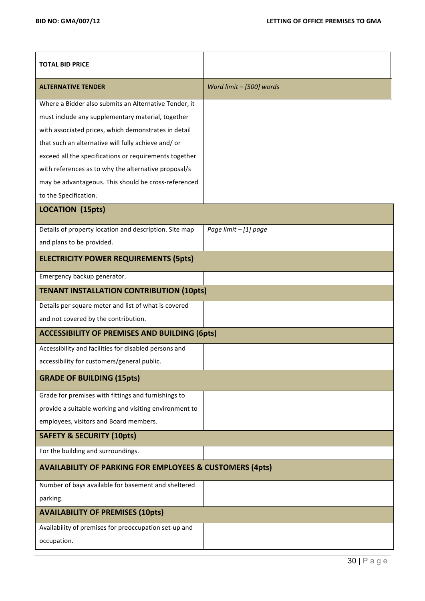| <b>TOTAL BID PRICE</b>                                              |                          |
|---------------------------------------------------------------------|--------------------------|
| <b>ALTERNATIVE TENDER</b>                                           | Word limit - [500] words |
| Where a Bidder also submits an Alternative Tender, it               |                          |
| must include any supplementary material, together                   |                          |
| with associated prices, which demonstrates in detail                |                          |
| that such an alternative will fully achieve and/ or                 |                          |
| exceed all the specifications or requirements together              |                          |
| with references as to why the alternative proposal/s                |                          |
| may be advantageous. This should be cross-referenced                |                          |
| to the Specification.                                               |                          |
| <b>LOCATION (15pts)</b>                                             |                          |
| Details of property location and description. Site map              | Page limit - [1] page    |
| and plans to be provided.                                           |                          |
| <b>ELECTRICITY POWER REQUIREMENTS (5pts)</b>                        |                          |
| Emergency backup generator.                                         |                          |
| <b>TENANT INSTALLATION CONTRIBUTION (10pts)</b>                     |                          |
| Details per square meter and list of what is covered                |                          |
| and not covered by the contribution.                                |                          |
| <b>ACCESSIBILITY OF PREMISES AND BUILDING (6pts)</b>                |                          |
| Accessibility and facilities for disabled persons and               |                          |
| accessibility for customers/general public.                         |                          |
| <b>GRADE OF BUILDING (15pts)</b>                                    |                          |
| Grade for premises with fittings and furnishings to                 |                          |
| provide a suitable working and visiting environment to              |                          |
| employees, visitors and Board members.                              |                          |
| <b>SAFETY &amp; SECURITY (10pts)</b>                                |                          |
| For the building and surroundings.                                  |                          |
| <b>AVAILABILITY OF PARKING FOR EMPLOYEES &amp; CUSTOMERS (4pts)</b> |                          |
| Number of bays available for basement and sheltered                 |                          |
| parking.                                                            |                          |
| <b>AVAILABILITY OF PREMISES (10pts)</b>                             |                          |
| Availability of premises for preoccupation set-up and               |                          |
| occupation.                                                         |                          |
|                                                                     |                          |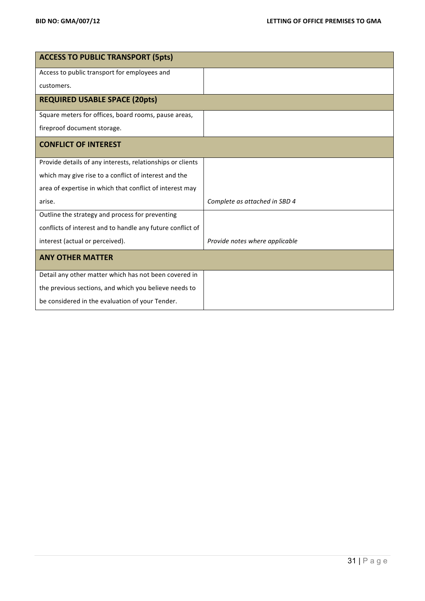| <b>ACCESS TO PUBLIC TRANSPORT (5pts)</b>                   |                                |
|------------------------------------------------------------|--------------------------------|
| Access to public transport for employees and               |                                |
| customers.                                                 |                                |
| <b>REQUIRED USABLE SPACE (20pts)</b>                       |                                |
| Square meters for offices, board rooms, pause areas,       |                                |
| fireproof document storage.                                |                                |
| <b>CONFLICT OF INTEREST</b>                                |                                |
| Provide details of any interests, relationships or clients |                                |
| which may give rise to a conflict of interest and the      |                                |
| area of expertise in which that conflict of interest may   |                                |
| arise.                                                     | Complete as attached in SBD 4  |
| Outline the strategy and process for preventing            |                                |
| conflicts of interest and to handle any future conflict of |                                |
| interest (actual or perceived).                            | Provide notes where applicable |
| <b>ANY OTHER MATTER</b>                                    |                                |
| Detail any other matter which has not been covered in      |                                |
| the previous sections, and which you believe needs to      |                                |
| be considered in the evaluation of your Tender.            |                                |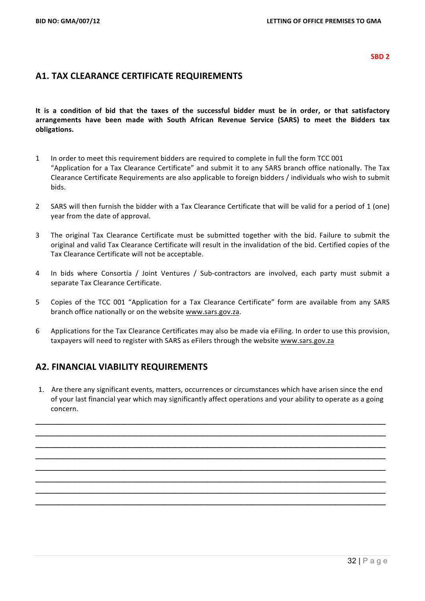#### **SBD 2**

## **A1. TAX CLEARANCE CERTIFICATE REQUIREMENTS**

It is a condition of bid that the taxes of the successful bidder must be in order, or that satisfactory **arrangements have been made with South African Revenue Service (SARS) to meet the Bidders tax obligations.**

- 1 In order to meet this requirement bidders are required to complete in full the form TCC 001 "Application for a Tax Clearance Certificate" and submit it to any SARS branch office nationally. The Tax Clearance Certificate Requirements are also applicable to foreign bidders / individuals who wish to submit bids.
- 2 SARS will then furnish the bidder with a Tax Clearance Certificate that will be valid for a period of 1 (one) year from the date of approval.
- 3 The original Tax Clearance Certificate must be submitted together with the bid. Failure to submit the original and valid Tax Clearance Certificate will result in the invalidation of the bid. Certified copies of the Tax Clearance Certificate will not be acceptable.
- 4 In bids where Consortia / Joint Ventures / Sub-contractors are involved, each party must submit a separate Tax Clearance Certificate.
- 5 Copies of the TCC 001 "Application for a Tax Clearance Certificate" form are available from any SARS branch office nationally or on the website www.sars.gov.za.
- 6 Applications for the Tax Clearance Certificates may also be made via eFiling. In order to use this provision, taxpayers will need to register with SARS as eFilers through the website www.sars.gov.za

## **A2. FINANCIAL VIABILITY REQUIREMENTS**

1. Are there any significant events, matters, occurrences or circumstances which have arisen since the end of your last financial year which may significantly affect operations and your ability to operate as a going concern.

 $\mathcal{L}_\text{max}$  , and the contract of the contract of the contract of the contract of the contract of the contract of the contract of the contract of the contract of the contract of the contract of the contract of the contr  $\mathcal{L}_\text{max}$  , and the contract of the contract of the contract of the contract of the contract of the contract of the contract of the contract of the contract of the contract of the contract of the contract of the contr  $\mathcal{L}_\text{max}$  , and the contract of the contract of the contract of the contract of the contract of the contract of the contract of the contract of the contract of the contract of the contract of the contract of the contr  $\mathcal{L}_\text{max}$  , and the contract of the contract of the contract of the contract of the contract of the contract of the contract of the contract of the contract of the contract of the contract of the contract of the contr \_\_\_\_\_\_\_\_\_\_\_\_\_\_\_\_\_\_\_\_\_\_\_\_\_\_\_\_\_\_\_\_\_\_\_\_\_\_\_\_\_\_\_\_\_\_\_\_\_\_\_\_\_\_\_\_\_\_\_\_\_\_\_ \_\_\_\_\_\_\_\_\_\_\_\_\_\_\_\_\_\_\_\_\_\_\_\_\_\_\_\_\_\_\_\_\_\_\_\_\_\_\_\_\_\_\_\_\_\_\_\_\_\_\_\_\_\_\_\_\_\_\_\_\_\_\_ \_\_\_\_\_\_\_\_\_\_\_\_\_\_\_\_\_\_\_\_\_\_\_\_\_\_\_\_\_\_\_\_\_\_\_\_\_\_\_\_\_\_\_\_\_\_\_\_\_\_\_\_\_\_\_\_\_\_\_\_\_\_\_ \_\_\_\_\_\_\_\_\_\_\_\_\_\_\_\_\_\_\_\_\_\_\_\_\_\_\_\_\_\_\_\_\_\_\_\_\_\_\_\_\_\_\_\_\_\_\_\_\_\_\_\_\_\_\_\_\_\_\_\_\_\_\_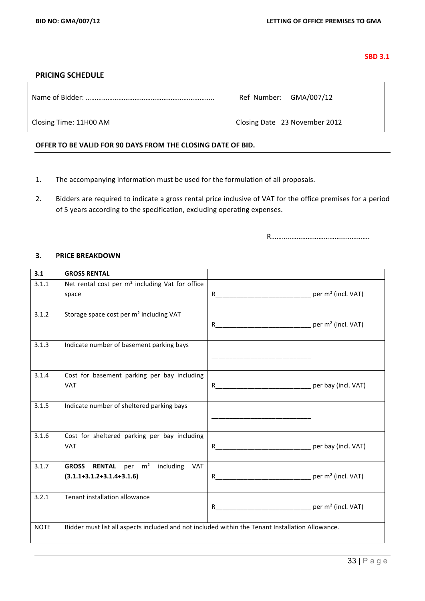**SBD 3.1**

## **PRICING SCHEDULE**

Name of Bidder: …………………………………………………………….. Ref Number: GMA/007/12

Closing Time: 11H00 AM Closing Date 23 November 2012

#### **OFFER TO BE VALID FOR 90 DAYS FROM THE CLOSING DATE OF BID.**

- 1. The accompanying information must be used for the formulation of all proposals.
- 2. Bidders are required to indicate a gross rental price inclusive of VAT for the office premises for a period of 5 years according to the specification, excluding operating expenses.

R………..………………………...………….

#### **3. PRICE BREAKDOWN**

| 3.1         | <b>GROSS RENTAL</b>                                                                              |                                        |
|-------------|--------------------------------------------------------------------------------------------------|----------------------------------------|
| 3.1.1       | Net rental cost per m <sup>2</sup> including Vat for office                                      |                                        |
|             | space                                                                                            |                                        |
|             |                                                                                                  |                                        |
| 3.1.2       | Storage space cost per m <sup>2</sup> including VAT                                              |                                        |
|             |                                                                                                  |                                        |
| 3.1.3       | Indicate number of basement parking bays                                                         |                                        |
|             |                                                                                                  |                                        |
|             |                                                                                                  |                                        |
| 3.1.4       | Cost for basement parking per bay including                                                      |                                        |
|             | <b>VAT</b>                                                                                       |                                        |
|             |                                                                                                  |                                        |
| 3.1.5       | Indicate number of sheltered parking bays                                                        |                                        |
|             |                                                                                                  |                                        |
| 3.1.6       | Cost for sheltered parking per bay including                                                     |                                        |
|             | <b>VAT</b>                                                                                       |                                        |
|             |                                                                                                  |                                        |
| 3.1.7       | GROSS RENTAL per m <sup>2</sup> including VAT                                                    |                                        |
|             | $(3.1.1+3.1.2+3.1.4+3.1.6)$                                                                      |                                        |
| 3.2.1       | Tenant installation allowance                                                                    |                                        |
|             |                                                                                                  | R E R E Per m <sup>2</sup> (incl. VAT) |
|             |                                                                                                  |                                        |
| <b>NOTE</b> | Bidder must list all aspects included and not included within the Tenant Installation Allowance. |                                        |
|             |                                                                                                  |                                        |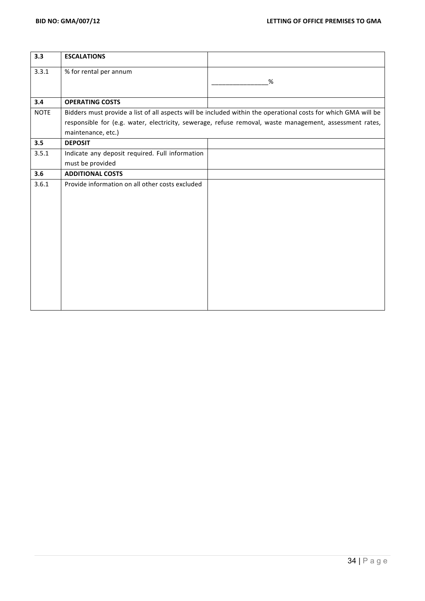| 3.3         | <b>ESCALATIONS</b>                              |                                                                                                                |
|-------------|-------------------------------------------------|----------------------------------------------------------------------------------------------------------------|
| 3.3.1       | % for rental per annum                          |                                                                                                                |
|             |                                                 | %                                                                                                              |
| 3.4         | <b>OPERATING COSTS</b>                          |                                                                                                                |
| <b>NOTE</b> |                                                 | Bidders must provide a list of all aspects will be included within the operational costs for which GMA will be |
|             |                                                 | responsible for (e.g. water, electricity, sewerage, refuse removal, waste management, assessment rates,        |
|             | maintenance, etc.)                              |                                                                                                                |
| 3.5         | <b>DEPOSIT</b>                                  |                                                                                                                |
| 3.5.1       | Indicate any deposit required. Full information |                                                                                                                |
|             | must be provided                                |                                                                                                                |
| 3.6         | <b>ADDITIONAL COSTS</b>                         |                                                                                                                |
| 3.6.1       | Provide information on all other costs excluded |                                                                                                                |
|             |                                                 |                                                                                                                |
|             |                                                 |                                                                                                                |
|             |                                                 |                                                                                                                |
|             |                                                 |                                                                                                                |
|             |                                                 |                                                                                                                |
|             |                                                 |                                                                                                                |
|             |                                                 |                                                                                                                |
|             |                                                 |                                                                                                                |
|             |                                                 |                                                                                                                |
|             |                                                 |                                                                                                                |
|             |                                                 |                                                                                                                |
|             |                                                 |                                                                                                                |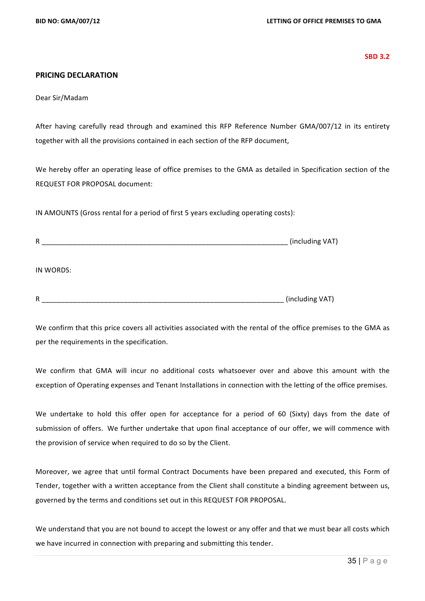**SBD 3.2**

### **PRICING DECLARATION**

Dear Sir/Madam

After having carefully read through and examined this RFP Reference Number GMA/007/12 in its entirety together with all the provisions contained in each section of the RFP document,

We hereby offer an operating lease of office premises to the GMA as detailed in Specification section of the REQUEST FOR PROPOSAL document:

IN AMOUNTS (Gross rental for a period of first 5 years excluding operating costs):

| R | $\int$ including $V\Delta T$<br>$ \cdots$ $\cdots$ |
|---|----------------------------------------------------|
|   |                                                    |

IN WORDS:

R Z CONSERVATION CONSERVATION CONSERVATION CONSERVATION CONSERVATION CONSERVATION CONSERVATION CONSERVATION CONSERVATION CONSERVATION CONSERVATION CONSERVATION CONSERVATION CONSERVATION CONSERVATION CONSERVATION CONSERVATI

We confirm that this price covers all activities associated with the rental of the office premises to the GMA as per the requirements in the specification.

We confirm that GMA will incur no additional costs whatsoever over and above this amount with the exception of Operating expenses and Tenant Installations in connection with the letting of the office premises.

We undertake to hold this offer open for acceptance for a period of 60 (Sixty) days from the date of submission of offers. We further undertake that upon final acceptance of our offer, we will commence with the provision of service when required to do so by the Client.

Moreover, we agree that until formal Contract Documents have been prepared and executed, this Form of Tender, together with a written acceptance from the Client shall constitute a binding agreement between us, governed by the terms and conditions set out in this REQUEST FOR PROPOSAL.

We understand that you are not bound to accept the lowest or any offer and that we must bear all costs which we have incurred in connection with preparing and submitting this tender.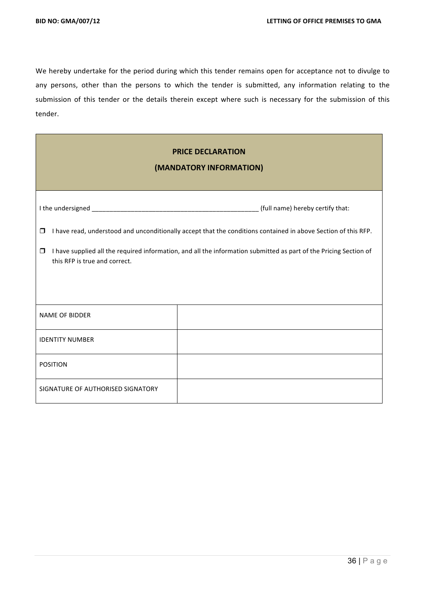We hereby undertake for the period during which this tender remains open for acceptance not to divulge to any persons, other than the persons to which the tender is submitted, any information relating to the submission of this tender or the details therein except where such is necessary for the submission of this tender.

| I the undersigned | (full name) hereby certify that: |
|-------------------|----------------------------------|
|-------------------|----------------------------------|

 $\Box$  I have read, understood and unconditionally accept that the conditions contained in above Section of this RFP.

 $\Box$  I have supplied all the required information, and all the information submitted as part of the Pricing Section of this RFP is true and correct.

| NAME OF BIDDER                    |  |
|-----------------------------------|--|
| <b>IDENTITY NUMBER</b>            |  |
| <b>POSITION</b>                   |  |
| SIGNATURE OF AUTHORISED SIGNATORY |  |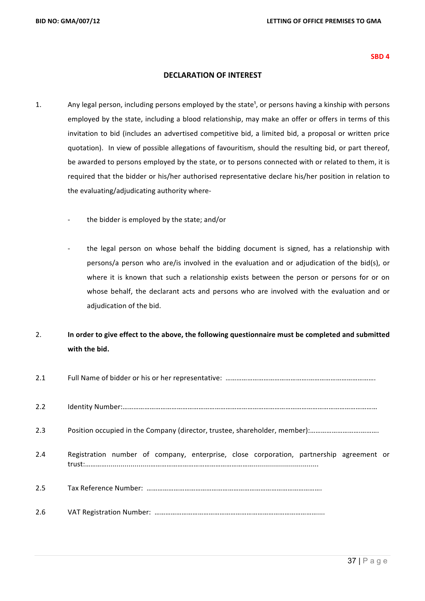#### **SBD 4**

#### **DECLARATION OF INTEREST**

- 1. Any legal person, including persons employed by the state<sup>1</sup>, or persons having a kinship with persons employed by the state, including a blood relationship, may make an offer or offers in terms of this invitation to bid (includes an advertised competitive bid, a limited bid, a proposal or written price quotation). In view of possible allegations of favouritism, should the resulting bid, or part thereof, be awarded to persons employed by the state, or to persons connected with or related to them, it is required that the bidder or his/her authorised representative declare his/her position in relation to the evaluating/adjudicating authority where
	- the bidder is employed by the state; and/or
	- the legal person on whose behalf the bidding document is signed, has a relationship with persons/a person who are/is involved in the evaluation and or adjudication of the bid(s), or where it is known that such a relationship exists between the person or persons for or on whose behalf, the declarant acts and persons who are involved with the evaluation and or adjudication of the bid.
- 2. **In order to give effect to the above, the following questionnaire must be completed and submitted** with **the bid.**

| 2.1 |                                                                                         |
|-----|-----------------------------------------------------------------------------------------|
| 2.2 |                                                                                         |
| 2.3 |                                                                                         |
| 2.4 | Registration number of company, enterprise, close corporation, partnership agreement or |
| 2.5 |                                                                                         |
| 2.6 |                                                                                         |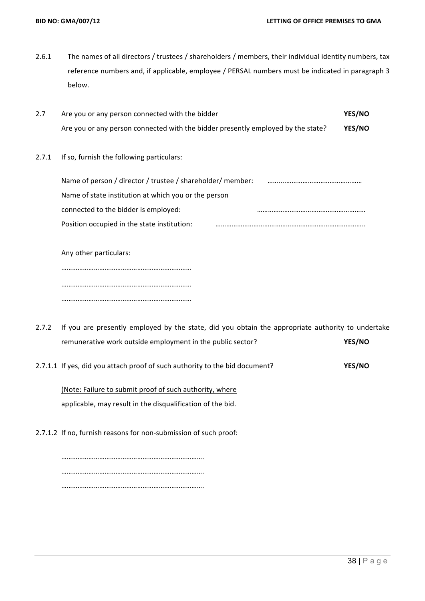- 2.6.1 The names of all directors / trustees / shareholders / members, their individual identity numbers, tax reference numbers and, if applicable, employee / PERSAL numbers must be indicated in paragraph 3 below.
- 2.7 Are you or any person connected with the bidder **YES/NO** Are you or any person connected with the bidder presently employed by the state? YES/NO
- 2.7.1 If so, furnish the following particulars:

Name of person / director / trustee / shareholder/ member: ……....…………………………………… Name of state institution at which you or the person connected to the bidder is employed: with a summan connected to the bidder is employed: Position occupied in the state institution: ………………………………………………………………………..

Any other particulars: ……………………………………………………………… ……………………………………………………………… ………………………………………………………………

- 2.7.2 If you are presently employed by the state, did you obtain the appropriate authority to undertake remunerative work outside employment in the public sector? **YES/NO**
- 2.7.1.1 If yes, did you attach proof of such authority to the bid document? **YES/NO**

(Note: Failure to submit proof of such authority, where applicable, may result in the disqualification of the bid.

2.7.1.2 If no, furnish reasons for non-submission of such proof:

……………………………………………………………………. ……………………………………………………………………. …………………………………………………………………….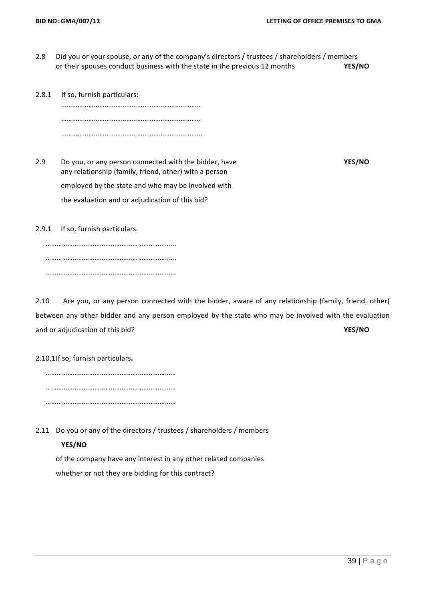2.8 Did you or your spouse, or any of the company's directors / trustees / shareholders / members or their spouses conduct business with the state in the previous 12 months **YES/NO** 

| 2.8.1 If so, furnish particulars: |
|-----------------------------------|
|                                   |
|                                   |
|                                   |

2.9 Do you, or any person connected with the bidder, have **YES/NO** any relationship (family, friend, other) with a person

the evaluation and or adjudication of this bid?

employed by the state and who may be involved with

2.9.1 If so, furnish particulars.

……………………………………………………………... …………………………………………………………..…. ………………………………………………………………

2.10 Are you, or any person connected with the bidder, aware of any relationship (family, friend, other) between any other bidder and any person employed by the state who may be involved with the evaluation and or adjudication of this bid? **YES/NO**

2.10.1If so, furnish particulars.

……………………………………………………………… ……………………………………………………………… ………………………………………………………………

2.11 Do you or any of the directors / trustees / shareholders / members

## **YES/NO**

of the company have any interest in any other related companies whether or not they are bidding for this contract?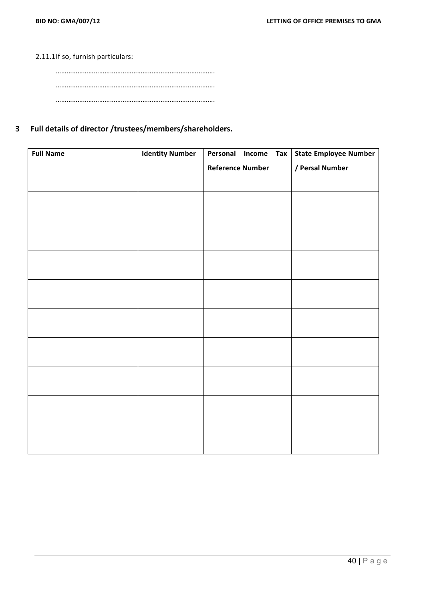## 2.11.1If so, furnish particulars:

## **3 Full details of director /trustees/members/shareholders.**

| <b>Full Name</b> | <b>Identity Number</b> | Personal                | Income | <b>State Employee Number</b><br><b>Tax</b> |  |
|------------------|------------------------|-------------------------|--------|--------------------------------------------|--|
|                  |                        | <b>Reference Number</b> |        | / Persal Number                            |  |
|                  |                        |                         |        |                                            |  |
|                  |                        |                         |        |                                            |  |
|                  |                        |                         |        |                                            |  |
|                  |                        |                         |        |                                            |  |
|                  |                        |                         |        |                                            |  |
|                  |                        |                         |        |                                            |  |
|                  |                        |                         |        |                                            |  |
|                  |                        |                         |        |                                            |  |
|                  |                        |                         |        |                                            |  |
|                  |                        |                         |        |                                            |  |
|                  |                        |                         |        |                                            |  |
|                  |                        |                         |        |                                            |  |
|                  |                        |                         |        |                                            |  |
|                  |                        |                         |        |                                            |  |
|                  |                        |                         |        |                                            |  |
|                  |                        |                         |        |                                            |  |
|                  |                        |                         |        |                                            |  |
|                  |                        |                         |        |                                            |  |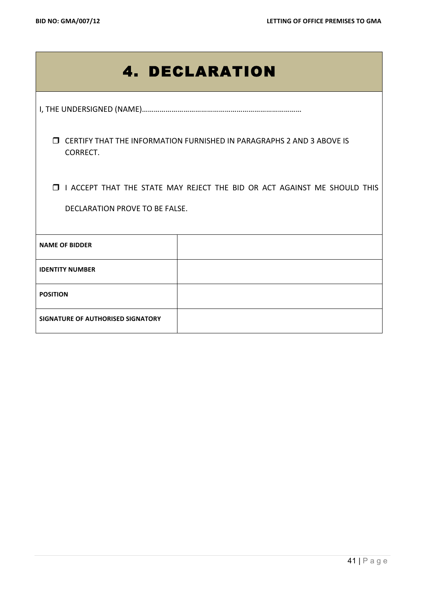|                                                                                                              | <b>4. DECLARATION</b> |  |
|--------------------------------------------------------------------------------------------------------------|-----------------------|--|
|                                                                                                              |                       |  |
| <b>J CERTIFY THAT THE INFORMATION FURNISHED IN PARAGRAPHS 2 AND 3 ABOVE IS</b><br>CORRECT.                   |                       |  |
| I I ACCEPT THAT THE STATE MAY REJECT THE BID OR ACT AGAINST ME SHOULD THIS<br>DECLARATION PROVE TO BE FALSE. |                       |  |
| <b>NAME OF BIDDER</b>                                                                                        |                       |  |
| <b>IDENTITY NUMBER</b>                                                                                       |                       |  |
| <b>POSITION</b>                                                                                              |                       |  |
| <b>SIGNATURE OF AUTHORISED SIGNATORY</b>                                                                     |                       |  |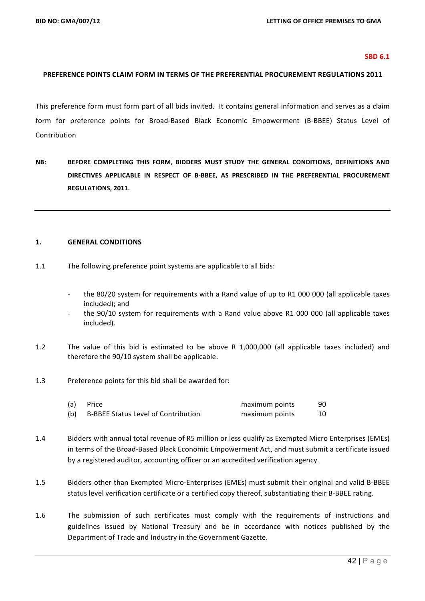#### **SBD 6.1**

#### **PREFERENCE POINTS CLAIM FORM IN TERMS OF THE PREFERENTIAL PROCUREMENT REGULATIONS 2011**

This preference form must form part of all bids invited. It contains general information and serves as a claim form for preference points for Broad-Based Black Economic Empowerment (B-BBEE) Status Level of Contribution 

**NB: BEFORE COMPLETING THIS FORM, BIDDERS MUST STUDY THE GENERAL CONDITIONS, DEFINITIONS AND** DIRECTIVES APPLICABLE IN RESPECT OF B-BBEE, AS PRESCRIBED IN THE PREFERENTIAL PROCUREMENT **REGULATIONS, 2011.** 

#### 1. **GENERAL CONDITIONS**

- 1.1 The following preference point systems are applicable to all bids:
	- the 80/20 system for requirements with a Rand value of up to R1 000 000 (all applicable taxes included); and
	- the 90/10 system for requirements with a Rand value above R1 000 000 (all applicable taxes included).
- 1.2 The value of this bid is estimated to be above R 1,000,000 (all applicable taxes included) and therefore the 90/10 system shall be applicable.
- 1.3 Preference points for this bid shall be awarded for:

| (a) | Price                               | maximum points | 90 |
|-----|-------------------------------------|----------------|----|
| (b) | B-BBEE Status Level of Contribution | maximum points | 10 |

- 1.4 Bidders with annual total revenue of R5 million or less qualify as Exempted Micro Enterprises (EMEs) in terms of the Broad-Based Black Economic Empowerment Act, and must submit a certificate issued by a registered auditor, accounting officer or an accredited verification agency.
- 1.5 Bidders other than Exempted Micro-Enterprises (EMEs) must submit their original and valid B-BBEE status level verification certificate or a certified copy thereof, substantiating their B-BBEE rating.
- 1.6 The submission of such certificates must comply with the requirements of instructions and guidelines issued by National Treasury and be in accordance with notices published by the Department of Trade and Industry in the Government Gazette.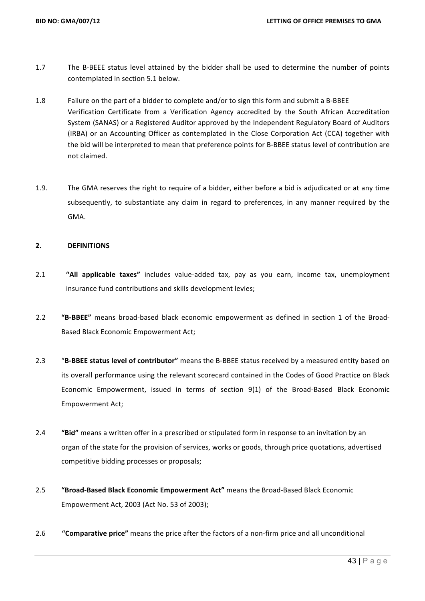- 1.7 The B-BEEE status level attained by the bidder shall be used to determine the number of points contemplated in section 5.1 below.
- 1.8 Failure on the part of a bidder to complete and/or to sign this form and submit a B-BBEE Verification Certificate from a Verification Agency accredited by the South African Accreditation System (SANAS) or a Registered Auditor approved by the Independent Regulatory Board of Auditors (IRBA) or an Accounting Officer as contemplated in the Close Corporation Act (CCA) together with the bid will be interpreted to mean that preference points for B-BBEE status level of contribution are not claimed.
- 1.9. The GMA reserves the right to require of a bidder, either before a bid is adjudicated or at any time subsequently, to substantiate any claim in regard to preferences, in any manner required by the GMA.

#### **2. DEFINITIONS**

- 2.1 "All applicable taxes" includes value-added tax, pay as you earn, income tax, unemployment insurance fund contributions and skills development levies;
- 2.2 **"B-BBEE"** means broad-based black economic empowerment as defined in section 1 of the Broad-Based Black Economic Empowerment Act;
- 2.3 "B-BBEE status level of contributor" means the B-BBEE status received by a measured entity based on its overall performance using the relevant scorecard contained in the Codes of Good Practice on Black Economic Empowerment, issued in terms of section 9(1) of the Broad-Based Black Economic Empowerment Act:
- 2.4 **"Bid"** means a written offer in a prescribed or stipulated form in response to an invitation by an organ of the state for the provision of services, works or goods, through price quotations, advertised competitive bidding processes or proposals;
- 2.5 **"Broad-Based Black Economic Empowerment Act"** means the Broad-Based Black Economic Empowerment Act, 2003 (Act No. 53 of 2003):
- 2.6 **"Comparative price"** means the price after the factors of a non-firm price and all unconditional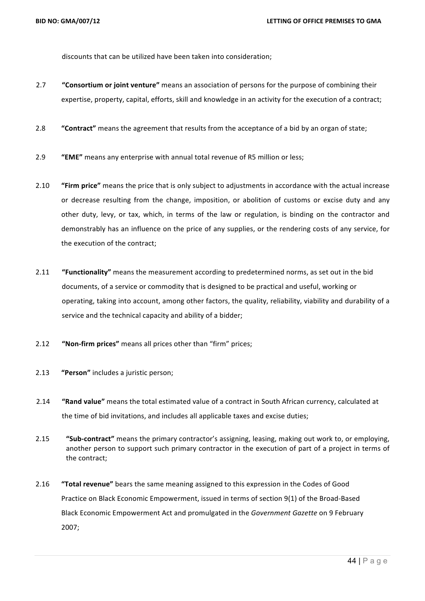discounts that can be utilized have been taken into consideration;

- 2.7 **"Consortium or joint venture"** means an association of persons for the purpose of combining their expertise, property, capital, efforts, skill and knowledge in an activity for the execution of a contract;
- 2.8 **"Contract"** means the agreement that results from the acceptance of a bid by an organ of state;
- 2.9 **"EME"** means any enterprise with annual total revenue of R5 million or less;
- 2.10 **"Firm price"** means the price that is only subject to adjustments in accordance with the actual increase or decrease resulting from the change, imposition, or abolition of customs or excise duty and any other duty, levy, or tax, which, in terms of the law or regulation, is binding on the contractor and demonstrably has an influence on the price of any supplies, or the rendering costs of any service, for the execution of the contract;
- 2.11 **"Functionality"** means the measurement according to predetermined norms, as set out in the bid documents, of a service or commodity that is designed to be practical and useful, working or operating, taking into account, among other factors, the quality, reliability, viability and durability of a service and the technical capacity and ability of a bidder;
- 2.12 **"Non-firm prices"** means all prices other than "firm" prices;
- 2.13 **"Person"** includes a juristic person;
- 2.14 **"Rand value"** means the total estimated value of a contract in South African currency, calculated at the time of bid invitations, and includes all applicable taxes and excise duties;
- 2.15 **"Sub-contract"** means the primary contractor's assigning, leasing, making out work to, or employing, another person to support such primary contractor in the execution of part of a project in terms of the contract;
- 2.16 **"Total revenue"** bears the same meaning assigned to this expression in the Codes of Good Practice on Black Economic Empowerment, issued in terms of section 9(1) of the Broad-Based Black Economic Empowerment Act and promulgated in the *Government Gazette* on 9 February 2007;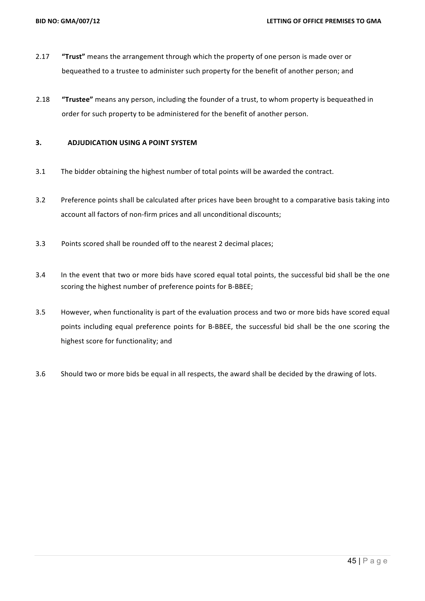- 2.17 **"Trust"** means the arrangement through which the property of one person is made over or bequeathed to a trustee to administer such property for the benefit of another person; and
- 2.18 **"Trustee"** means any person, including the founder of a trust, to whom property is bequeathed in order for such property to be administered for the benefit of another person.

#### **3. ADJUDICATION USING A POINT SYSTEM**

- 3.1 The bidder obtaining the highest number of total points will be awarded the contract.
- 3.2 Preference points shall be calculated after prices have been brought to a comparative basis taking into account all factors of non-firm prices and all unconditional discounts;
- 3.3 Points scored shall be rounded off to the nearest 2 decimal places;
- 3.4 In the event that two or more bids have scored equal total points, the successful bid shall be the one scoring the highest number of preference points for B-BBEE;
- 3.5 However, when functionality is part of the evaluation process and two or more bids have scored equal points including equal preference points for B-BBEE, the successful bid shall be the one scoring the highest score for functionality; and
- 3.6 Should two or more bids be equal in all respects, the award shall be decided by the drawing of lots.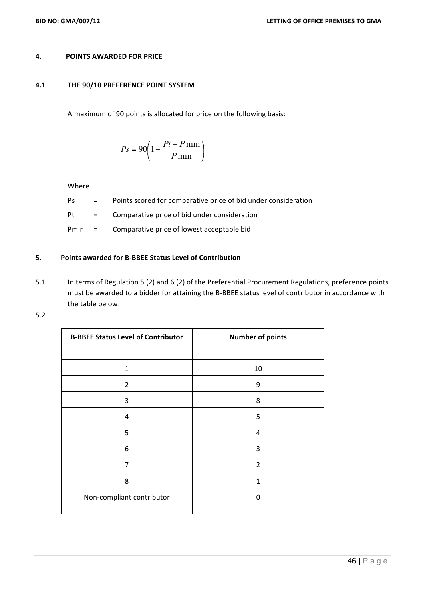#### **4. POINTS AWARDED FOR PRICE**

#### **4.1 THE 90/10 PREFERENCE POINT SYSTEM**

A maximum of 90 points is allocated for price on the following basis:

$$
Ps = 90 \left( 1 - \frac{Pt - P \min}{P \min} \right)
$$

Where

- $Ps =$  Points scored for comparative price of bid under consideration
- Pt  $=$  Comparative price of bid under consideration
- Pmin  $=$  Comparative price of lowest acceptable bid

#### **5.** Points awarded for B-BBEE Status Level of Contribution

- 5.1 In terms of Regulation 5 (2) and 6 (2) of the Preferential Procurement Regulations, preference points must be awarded to a bidder for attaining the B-BBEE status level of contributor in accordance with the table below:
- 5.2

| <b>B-BBEE Status Level of Contributor</b> | <b>Number of points</b> |
|-------------------------------------------|-------------------------|
| $\mathbf{1}$                              | 10                      |
| $\overline{2}$                            | 9                       |
| 3                                         | 8                       |
| 4                                         | 5                       |
| 5                                         | 4                       |
| 6                                         | 3                       |
| 7                                         | $\overline{2}$          |
| 8                                         | $\mathbf{1}$            |
| Non-compliant contributor                 | 0                       |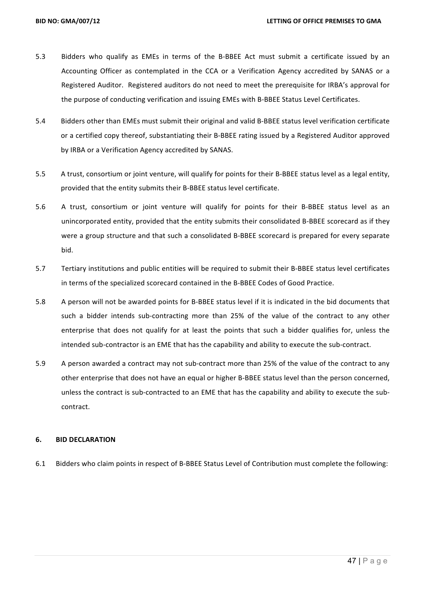- 5.3 Bidders who qualify as EMEs in terms of the B-BBEE Act must submit a certificate issued by an Accounting Officer as contemplated in the CCA or a Verification Agency accredited by SANAS or a Registered Auditor. Registered auditors do not need to meet the prerequisite for IRBA's approval for the purpose of conducting verification and issuing EMEs with B-BBEE Status Level Certificates.
- 5.4 Bidders other than EMEs must submit their original and valid B-BBEE status level verification certificate or a certified copy thereof, substantiating their B-BBEE rating issued by a Registered Auditor approved by IRBA or a Verification Agency accredited by SANAS.
- 5.5 A trust, consortium or joint venture, will qualify for points for their B-BBEE status level as a legal entity, provided that the entity submits their B-BBEE status level certificate.
- 5.6 A trust, consortium or joint venture will qualify for points for their B-BBEE status level as an unincorporated entity, provided that the entity submits their consolidated B-BBEE scorecard as if they were a group structure and that such a consolidated B-BBEE scorecard is prepared for every separate bid.
- 5.7 Tertiary institutions and public entities will be required to submit their B-BBEE status level certificates in terms of the specialized scorecard contained in the B-BBEE Codes of Good Practice.
- 5.8 A person will not be awarded points for B-BBEE status level if it is indicated in the bid documents that such a bidder intends sub-contracting more than 25% of the value of the contract to any other enterprise that does not qualify for at least the points that such a bidder qualifies for, unless the intended sub-contractor is an EME that has the capability and ability to execute the sub-contract.
- 5.9 A person awarded a contract may not sub-contract more than 25% of the value of the contract to any other enterprise that does not have an equal or higher B-BBEE status level than the person concerned, unless the contract is sub-contracted to an EME that has the capability and ability to execute the subcontract.

#### **6. BID DECLARATION**

6.1 Bidders who claim points in respect of B-BBEE Status Level of Contribution must complete the following: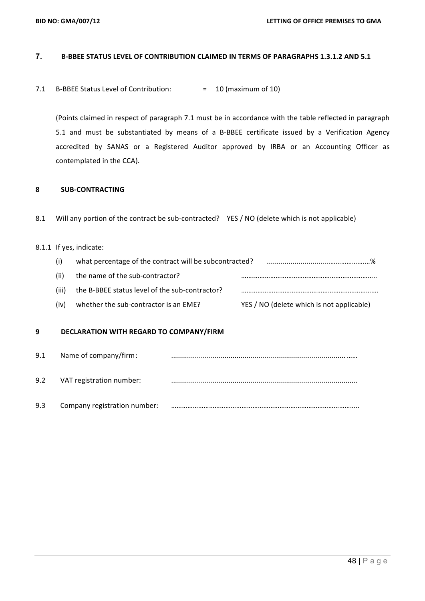### **7. B-BBEE STATUS LEVEL OF CONTRIBUTION CLAIMED IN TERMS OF PARAGRAPHS 1.3.1.2 AND 5.1**

7.1 B-BBEE Status Level of Contribution:  $= 10$  (maximum of 10)

(Points claimed in respect of paragraph 7.1 must be in accordance with the table reflected in paragraph 5.1 and must be substantiated by means of a B-BBEE certificate issued by a Verification Agency accredited by SANAS or a Registered Auditor approved by IRBA or an Accounting Officer as contemplated in the CCA).

#### **8 SUB-CONTRACTING**

8.1 Will any portion of the contract be sub-contracted? YES / NO (delete which is not applicable)

#### 8.1.1 If yes, indicate:

- (i) what percentage of the contract will be subcontracted? ................................……………….…% (ii) the name of the sub-contractor? …….………………………………………………………….. (iii) the B-BBEE status level of the sub-contractor? ………………………………………………………………………
- (iv) whether the sub-contractor is an EME? YES / NO (delete which is not applicable)

#### **9 DECLARATION WITH REGARD TO COMPANY/FIRM**

| 9.1 | Name of company/firm:        |  |
|-----|------------------------------|--|
| 9.2 | VAT registration number:     |  |
| 9.3 | Company registration number: |  |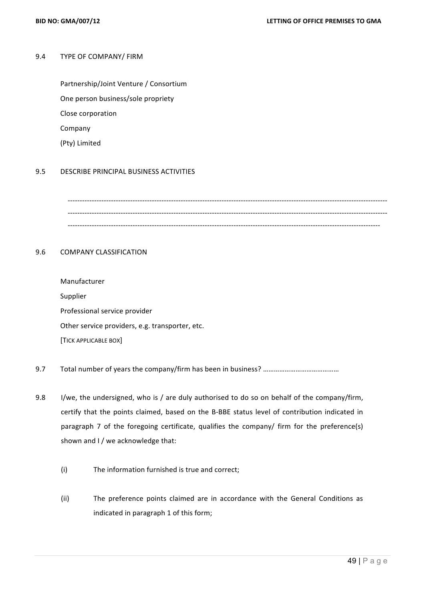#### 9.4 TYPE OF COMPANY/ FIRM

Partnership/Joint Venture / Consortium One person business/sole propriety Close corporation Company (Pty) Limited

#### 9.5 DESCRIBE PRINCIPAL BUSINESS ACTIVITIES

------------------------------------------------------------------------------------------------------------------------------------- ------------------------------------------------------------------------------------------------------------------------------------- ----------------------------------------------------------------------------------------------------------------------------------

#### 9.6 COMPANY CLASSIFICATION

 Manufacturer Supplier Professional service provider Other service providers, e.g. transporter, etc. [TICK APPLICABLE BOX]

- 9.7 Total number of years the company/firm has been in business? ……………………………………
- 9.8 I/we, the undersigned, who is / are duly authorised to do so on behalf of the company/firm, certify that the points claimed, based on the B-BBE status level of contribution indicated in paragraph 7 of the foregoing certificate, qualifies the company/ firm for the preference(s) shown and I / we acknowledge that:
	- (i) The information furnished is true and correct;
	- (ii) The preference points claimed are in accordance with the General Conditions as indicated in paragraph 1 of this form;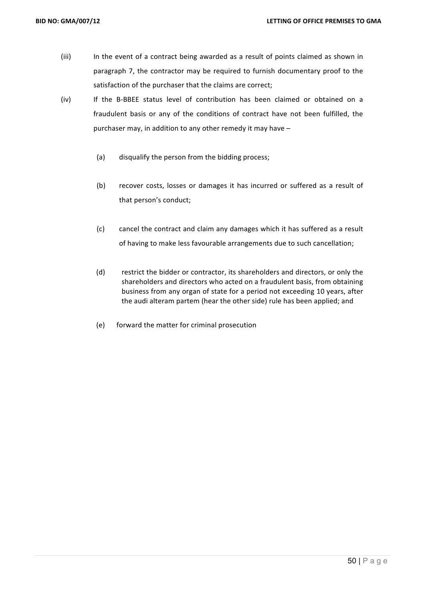- (iii) In the event of a contract being awarded as a result of points claimed as shown in paragraph 7, the contractor may be required to furnish documentary proof to the satisfaction of the purchaser that the claims are correct;
- (iv) If the B-BBEE status level of contribution has been claimed or obtained on a fraudulent basis or any of the conditions of contract have not been fulfilled, the purchaser may, in addition to any other remedy it may have -
	- (a) disqualify the person from the bidding process;
	- (b) recover costs, losses or damages it has incurred or suffered as a result of that person's conduct;
	- (c) cancel the contract and claim any damages which it has suffered as a result of having to make less favourable arrangements due to such cancellation;
	- (d) restrict the bidder or contractor, its shareholders and directors, or only the shareholders and directors who acted on a fraudulent basis, from obtaining business from any organ of state for a period not exceeding 10 years, after the audi alteram partem (hear the other side) rule has been applied; and
	- (e) forward the matter for criminal prosecution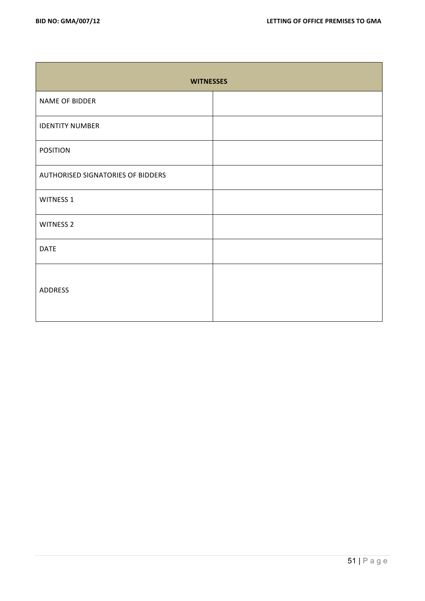| <b>WITNESSES</b>                  |  |
|-----------------------------------|--|
| NAME OF BIDDER                    |  |
| <b>IDENTITY NUMBER</b>            |  |
| <b>POSITION</b>                   |  |
| AUTHORISED SIGNATORIES OF BIDDERS |  |
| <b>WITNESS 1</b>                  |  |
| <b>WITNESS 2</b>                  |  |
| <b>DATE</b>                       |  |
| <b>ADDRESS</b>                    |  |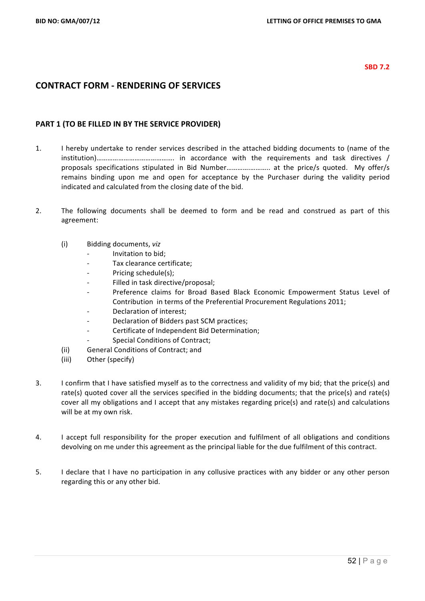#### **SBD 7.2**

## **CONTRACT FORM - RENDERING OF SERVICES**

#### **PART 1 (TO BE FILLED IN BY THE SERVICE PROVIDER)**

- 1. I hereby undertake to render services described in the attached bidding documents to (name of the institution)……………………………………. in accordance with the requirements and task directives / proposals specifications stipulated in Bid Number…………………….. at the price/s quoted. My offer/s remains binding upon me and open for acceptance by the Purchaser during the validity period indicated and calculated from the closing date of the bid.
- 2. The following documents shall be deemed to form and be read and construed as part of this agreement:
	- (i) Bidding documents, *viz*
		- *-* Invitation to bid;
			- *-* Tax clearance certificate;
			- *-* Pricing schedule(s);
			- Filled in task directive/proposal;
			- Preference claims for Broad Based Black Economic Empowerment Status Level of Contribution in terms of the Preferential Procurement Regulations 2011;
			- Declaration of interest:
			- **Declaration of Bidders past SCM practices;**
			- Certificate of Independent Bid Determination:
			- **Special Conditions of Contract:**
	- (ii) General Conditions of Contract; and
	- (iii) Other (specify)
- 3. I confirm that I have satisfied myself as to the correctness and validity of my bid; that the price(s) and rate(s) quoted cover all the services specified in the bidding documents; that the price(s) and rate(s) cover all my obligations and I accept that any mistakes regarding price(s) and rate(s) and calculations will be at my own risk.
- 4. I accept full responsibility for the proper execution and fulfilment of all obligations and conditions devolving on me under this agreement as the principal liable for the due fulfilment of this contract.
- 5. I declare that I have no participation in any collusive practices with any bidder or any other person regarding this or any other bid.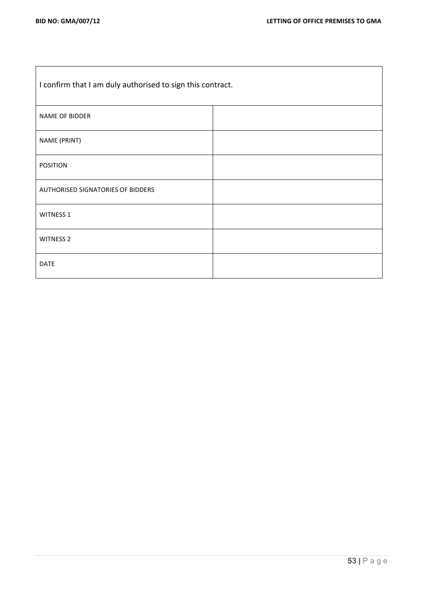$\mathbf{r}$ 

L,

| I confirm that I am duly authorised to sign this contract. |  |  |
|------------------------------------------------------------|--|--|
| NAME OF BIDDER                                             |  |  |
| NAME (PRINT)                                               |  |  |
| <b>POSITION</b>                                            |  |  |
| AUTHORISED SIGNATORIES OF BIDDERS                          |  |  |
| <b>WITNESS 1</b>                                           |  |  |
| <b>WITNESS 2</b>                                           |  |  |
| DATE                                                       |  |  |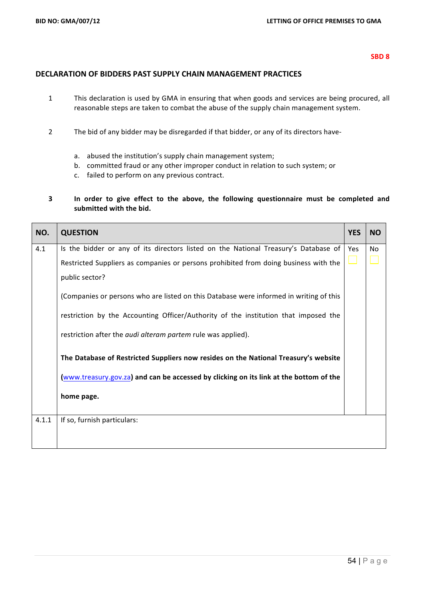## **DECLARATION OF BIDDERS PAST SUPPLY CHAIN MANAGEMENT PRACTICES**

- 1 This declaration is used by GMA in ensuring that when goods and services are being procured, all reasonable steps are taken to combat the abuse of the supply chain management system.
- 2 The bid of any bidder may be disregarded if that bidder, or any of its directors have
	- a. abused the institution's supply chain management system;
	- b. committed fraud or any other improper conduct in relation to such system; or
	- c. failed to perform on any previous contract.
- **3 In** order to give effect to the above, the following questionnaire must be completed and submitted with the bid.

| NO.   | <b>QUESTION</b>                                                                        | <b>YES</b> | <b>NO</b> |
|-------|----------------------------------------------------------------------------------------|------------|-----------|
| 4.1   | Is the bidder or any of its directors listed on the National Treasury's Database of    | Yes        | No.       |
|       | Restricted Suppliers as companies or persons prohibited from doing business with the   |            |           |
|       | public sector?                                                                         |            |           |
|       | (Companies or persons who are listed on this Database were informed in writing of this |            |           |
|       | restriction by the Accounting Officer/Authority of the institution that imposed the    |            |           |
|       | restriction after the <i>audi alteram partem</i> rule was applied).                    |            |           |
|       | The Database of Restricted Suppliers now resides on the National Treasury's website    |            |           |
|       | (www.treasury.gov.za) and can be accessed by clicking on its link at the bottom of the |            |           |
|       | home page.                                                                             |            |           |
| 4.1.1 | If so, furnish particulars:                                                            |            |           |
|       |                                                                                        |            |           |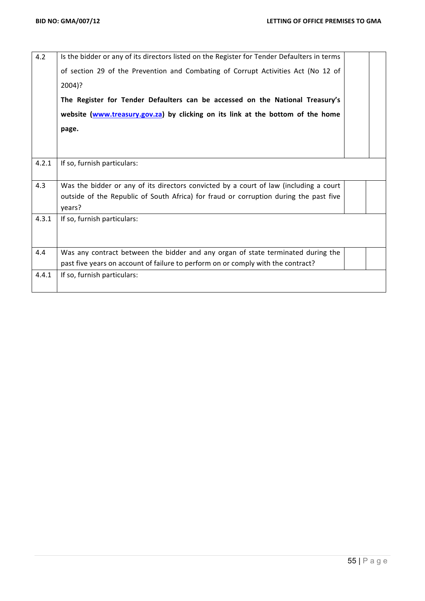| 4.2   | Is the bidder or any of its directors listed on the Register for Tender Defaulters in terms<br>of section 29 of the Prevention and Combating of Corrupt Activities Act (No 12 of<br>2004)?<br>The Register for Tender Defaulters can be accessed on the National Treasury's |  |
|-------|-----------------------------------------------------------------------------------------------------------------------------------------------------------------------------------------------------------------------------------------------------------------------------|--|
|       | website (www.treasury.gov.za) by clicking on its link at the bottom of the home                                                                                                                                                                                             |  |
|       | page.                                                                                                                                                                                                                                                                       |  |
|       |                                                                                                                                                                                                                                                                             |  |
| 4.2.1 | If so, furnish particulars:                                                                                                                                                                                                                                                 |  |
| 4.3   | Was the bidder or any of its directors convicted by a court of law (including a court                                                                                                                                                                                       |  |
|       | outside of the Republic of South Africa) for fraud or corruption during the past five<br>years?                                                                                                                                                                             |  |
| 4.3.1 | If so, furnish particulars:                                                                                                                                                                                                                                                 |  |
|       |                                                                                                                                                                                                                                                                             |  |
| 4.4   | Was any contract between the bidder and any organ of state terminated during the                                                                                                                                                                                            |  |
|       | past five years on account of failure to perform on or comply with the contract?                                                                                                                                                                                            |  |
| 4.4.1 | If so, furnish particulars:                                                                                                                                                                                                                                                 |  |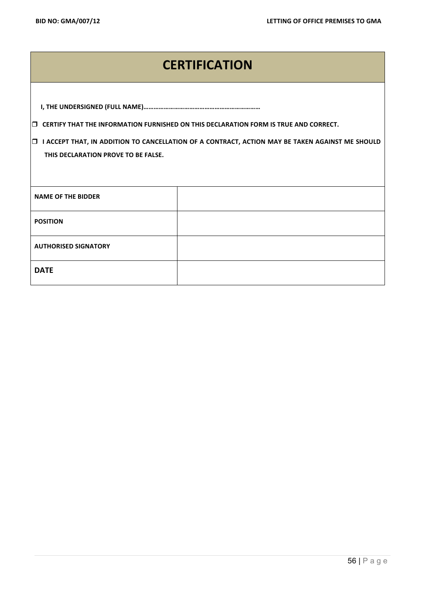# **CERTIFICATION**

|                                     | $\Box$ CERTIFY THAT THE INFORMATION FURNISHED ON THIS DECLARATION FORM IS TRUE AND CORRECT.            |
|-------------------------------------|--------------------------------------------------------------------------------------------------------|
|                                     | $\Box$ I ACCEPT THAT, IN ADDITION TO CANCELLATION OF A CONTRACT, ACTION MAY BE TAKEN AGAINST ME SHOULD |
| THIS DECLARATION PROVE TO BE FALSE. |                                                                                                        |
|                                     |                                                                                                        |
|                                     |                                                                                                        |
| <b>NAME OF THE BIDDER</b>           |                                                                                                        |
| <b>POSITION</b>                     |                                                                                                        |
| <b>AUTHORISED SIGNATORY</b>         |                                                                                                        |
| <b>DATE</b>                         |                                                                                                        |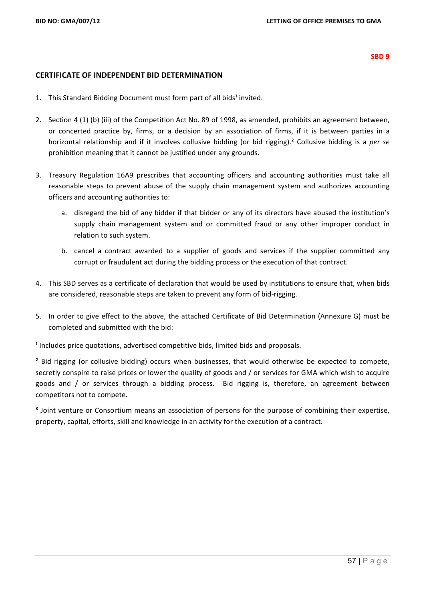#### **CERTIFICATE OF INDEPENDENT BID DETERMINATION**

- 1. This Standard Bidding Document must form part of all bids<sup>1</sup> invited.
- 2. Section 4 (1) (b) (iii) of the Competition Act No. 89 of 1998, as amended, prohibits an agreement between, or concerted practice by, firms, or a decision by an association of firms, if it is between parties in a horizontal relationship and if it involves collusive bidding (or bid rigging).<sup>2</sup> Collusive bidding is a *per se* prohibition meaning that it cannot be justified under any grounds.
- 3. Treasury Regulation 16A9 prescribes that accounting officers and accounting authorities must take all reasonable steps to prevent abuse of the supply chain management system and authorizes accounting officers and accounting authorities to:
	- a. disregard the bid of any bidder if that bidder or any of its directors have abused the institution's supply chain management system and or committed fraud or any other improper conduct in relation to such system.
	- b. cancel a contract awarded to a supplier of goods and services if the supplier committed any corrupt or fraudulent act during the bidding process or the execution of that contract.
- 4. This SBD serves as a certificate of declaration that would be used by institutions to ensure that, when bids are considered, reasonable steps are taken to prevent any form of bid-rigging.
- 5. In order to give effect to the above, the attached Certificate of Bid Determination (Annexure G) must be completed and submitted with the bid:

<sup>1</sup> Includes price quotations, advertised competitive bids, limited bids and proposals.

<sup>2</sup> Bid rigging (or collusive bidding) occurs when businesses, that would otherwise be expected to compete, secretly conspire to raise prices or lower the quality of goods and / or services for GMA which wish to acquire goods and / or services through a bidding process. Bid rigging is, therefore, an agreement between competitors not to compete.

<sup>3</sup> Joint venture or Consortium means an association of persons for the purpose of combining their expertise, property, capital, efforts, skill and knowledge in an activity for the execution of a contract.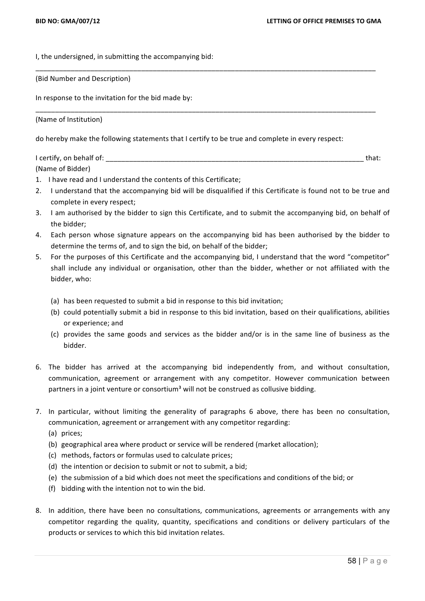I, the undersigned, in submitting the accompanying bid:

(Bid Number and Description)

In response to the invitation for the bid made by:

(Name of Institution)

do hereby make the following statements that I certify to be true and complete in every respect:

I certify, on behalf of: \_\_\_\_\_\_\_\_\_\_\_\_\_\_\_\_\_\_\_\_\_\_\_\_\_\_\_\_\_\_\_\_\_\_\_\_\_\_\_\_\_\_\_\_\_\_\_\_\_\_\_\_\_\_\_\_\_\_\_\_\_\_\_\_\_\_ that: (Name of Bidder)

\_\_\_\_\_\_\_\_\_\_\_\_\_\_\_\_\_\_\_\_\_\_\_\_\_\_\_\_\_\_\_\_\_\_\_\_\_\_\_\_\_\_\_\_\_\_\_\_\_\_\_\_\_\_\_\_\_\_\_\_\_\_\_\_\_\_\_\_\_\_\_\_\_\_\_\_\_\_\_\_\_\_\_\_\_\_\_ 

\_\_\_\_\_\_\_\_\_\_\_\_\_\_\_\_\_\_\_\_\_\_\_\_\_\_\_\_\_\_\_\_\_\_\_\_\_\_\_\_\_\_\_\_\_\_\_\_\_\_\_\_\_\_\_\_\_\_\_\_\_\_\_\_\_\_\_\_\_\_\_\_\_\_\_\_\_\_\_\_\_\_\_\_\_\_\_ 

- 1. I have read and I understand the contents of this Certificate;
- 2. I understand that the accompanying bid will be disqualified if this Certificate is found not to be true and complete in every respect;
- 3. I am authorised by the bidder to sign this Certificate, and to submit the accompanying bid, on behalf of the bidder:
- 4. Each person whose signature appears on the accompanying bid has been authorised by the bidder to determine the terms of, and to sign the bid, on behalf of the bidder;
- 5. For the purposes of this Certificate and the accompanying bid, I understand that the word "competitor" shall include any individual or organisation, other than the bidder, whether or not affiliated with the bidder, who:
	- (a) has been requested to submit a bid in response to this bid invitation;
	- (b) could potentially submit a bid in response to this bid invitation, based on their qualifications, abilities or experience; and
	- (c) provides the same goods and services as the bidder and/or is in the same line of business as the bidder.
- 6. The bidder has arrived at the accompanying bid independently from, and without consultation, communication, agreement or arrangement with any competitor. However communication between partners in a joint venture or consortium<sup>3</sup> will not be construed as collusive bidding.
- 7. In particular, without limiting the generality of paragraphs 6 above, there has been no consultation, communication, agreement or arrangement with any competitor regarding:
	- (a) prices;
	- (b) geographical area where product or service will be rendered (market allocation);
	- (c) methods, factors or formulas used to calculate prices;
	- (d) the intention or decision to submit or not to submit, a bid;
	- (e) the submission of a bid which does not meet the specifications and conditions of the bid; or
	- (f) bidding with the intention not to win the bid.
- 8. In addition, there have been no consultations, communications, agreements or arrangements with any competitor regarding the quality, quantity, specifications and conditions or delivery particulars of the products or services to which this bid invitation relates.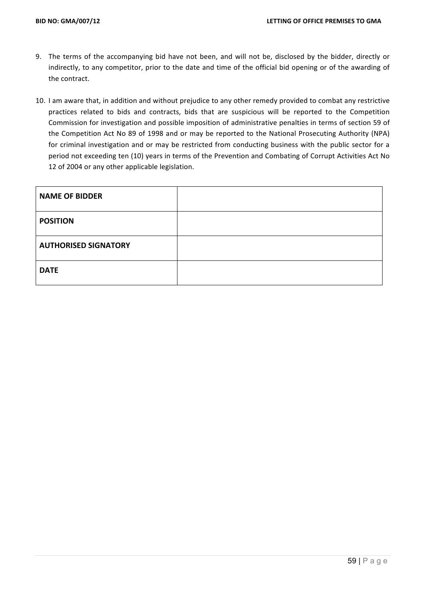- 9. The terms of the accompanying bid have not been, and will not be, disclosed by the bidder, directly or indirectly, to any competitor, prior to the date and time of the official bid opening or of the awarding of the contract.
- 10. I am aware that, in addition and without prejudice to any other remedy provided to combat any restrictive practices related to bids and contracts, bids that are suspicious will be reported to the Competition Commission for investigation and possible imposition of administrative penalties in terms of section 59 of the Competition Act No 89 of 1998 and or may be reported to the National Prosecuting Authority (NPA) for criminal investigation and or may be restricted from conducting business with the public sector for a period not exceeding ten (10) years in terms of the Prevention and Combating of Corrupt Activities Act No 12 of 2004 or any other applicable legislation.

| <b>NAME OF BIDDER</b>       |  |
|-----------------------------|--|
| <b>POSITION</b>             |  |
| <b>AUTHORISED SIGNATORY</b> |  |
| <b>DATE</b>                 |  |